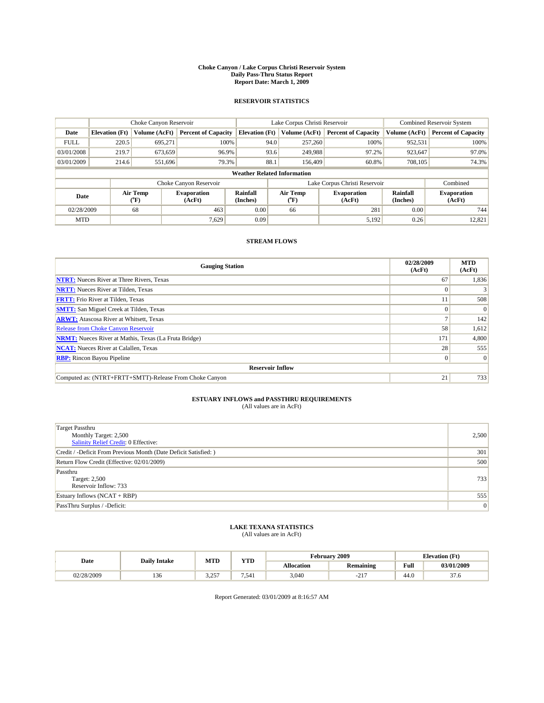#### **Choke Canyon / Lake Corpus Christi Reservoir System Daily Pass-Thru Status Report Report Date: March 1, 2009**

### **RESERVOIR STATISTICS**

|                                    | Choke Canyon Reservoir |                  |                              |                             | Lake Corpus Christi Reservoir | <b>Combined Reservoir System</b> |                      |                              |  |
|------------------------------------|------------------------|------------------|------------------------------|-----------------------------|-------------------------------|----------------------------------|----------------------|------------------------------|--|
| Date                               | <b>Elevation</b> (Ft)  | Volume (AcFt)    | <b>Percent of Capacity</b>   | <b>Elevation</b> (Ft)       | Volume (AcFt)                 | <b>Percent of Capacity</b>       | Volume (AcFt)        | <b>Percent of Capacity</b>   |  |
| <b>FULL</b>                        | 220.5                  | 695,271          | 100%                         | 94.0                        | 257,260                       | 100%                             | 952,531              | 100%                         |  |
| 03/01/2008                         | 219.7                  | 673,659          | 96.9%                        |                             | 93.6<br>249,988               | 97.2%                            | 923,647              | 97.0%                        |  |
| 03/01/2009                         | 214.6                  | 551,696          | 79.3%                        | 88.1                        | 156,409                       | 60.8%                            | 708,105              | 74.3%                        |  |
| <b>Weather Related Information</b> |                        |                  |                              |                             |                               |                                  |                      |                              |  |
|                                    |                        |                  | Choke Canyon Reservoir       |                             | Lake Corpus Christi Reservoir |                                  | Combined             |                              |  |
| Date                               |                        | Air Temp<br>(°F) | <b>Evaporation</b><br>(AcFt) | <b>Rainfall</b><br>(Inches) | Air Temp<br>(°F)              | <b>Evaporation</b><br>(AcFt)     | Rainfall<br>(Inches) | <b>Evaporation</b><br>(AcFt) |  |
| 02/28/2009                         |                        | 68               | 463                          | 0.00                        | 66                            | 281                              | 0.00                 | 744                          |  |
| <b>MTD</b>                         |                        |                  | 7.629                        | 0.09                        |                               | 5,192                            | 0.26                 | 12,821                       |  |

## **STREAM FLOWS**

| <b>Gauging Station</b>                                       | 02/28/2009<br>(AcFt) | <b>MTD</b><br>(AcFt) |  |  |  |  |  |
|--------------------------------------------------------------|----------------------|----------------------|--|--|--|--|--|
| <b>NTRT:</b> Nueces River at Three Rivers, Texas             | 67                   | 1,836                |  |  |  |  |  |
| <b>NRTT:</b> Nueces River at Tilden, Texas                   |                      |                      |  |  |  |  |  |
| <b>FRTT:</b> Frio River at Tilden, Texas                     |                      | 508                  |  |  |  |  |  |
| <b>SMTT:</b> San Miguel Creek at Tilden, Texas               |                      | $\Omega$             |  |  |  |  |  |
| <b>ARWT:</b> Atascosa River at Whitsett, Texas               |                      | 142                  |  |  |  |  |  |
| <b>Release from Choke Canyon Reservoir</b>                   | 58                   | 1,612                |  |  |  |  |  |
| <b>NRMT:</b> Nueces River at Mathis, Texas (La Fruta Bridge) | 171                  | 4,800                |  |  |  |  |  |
| <b>NCAT:</b> Nueces River at Calallen, Texas                 | 28                   | 555                  |  |  |  |  |  |
| <b>RBP:</b> Rincon Bayou Pipeline                            | $\overline{0}$       | $\Omega$             |  |  |  |  |  |
| <b>Reservoir Inflow</b>                                      |                      |                      |  |  |  |  |  |
| Computed as: (NTRT+FRTT+SMTT)-Release From Choke Canyon      | 21                   | 733                  |  |  |  |  |  |

# **ESTUARY INFLOWS and PASSTHRU REQUIREMENTS**<br>(All values are in AcFt)

| <b>Target Passthru</b><br>Monthly Target: 2,500<br><b>Salinity Relief Credit: 0 Effective:</b> | 2,500 |
|------------------------------------------------------------------------------------------------|-------|
| Credit / -Deficit From Previous Month (Date Deficit Satisfied: )                               | 301   |
| Return Flow Credit (Effective: 02/01/2009)                                                     | 500   |
| Passthru<br>Target: 2,500<br>Reservoir Inflow: 733                                             | 733   |
| Estuary Inflows (NCAT + RBP)                                                                   | 555   |
| PassThru Surplus / -Deficit:                                                                   | 0     |

## **LAKE TEXANA STATISTICS** (All values are in AcFt)

|            | <b>Daily Intake</b> | MTD            | <b>XZOD</b><br>1 I.D | √ebruarv          | .2009                         | <b>Elevation</b> (Ft)                   |                 |
|------------|---------------------|----------------|----------------------|-------------------|-------------------------------|-----------------------------------------|-----------------|
| Date       |                     |                |                      | <b>Allocation</b> | <b>Remaining</b>              | Full<br>the contract of the contract of | 03/01/2009      |
| 02/28/2009 | 150                 | 2757<br>ر ہے ۔ | 7.541                | 3,040             | $\sim$ $\sim$ $\sim$<br>$-L1$ | 44.0                                    | $\sim$<br>ں ، ر |

Report Generated: 03/01/2009 at 8:16:57 AM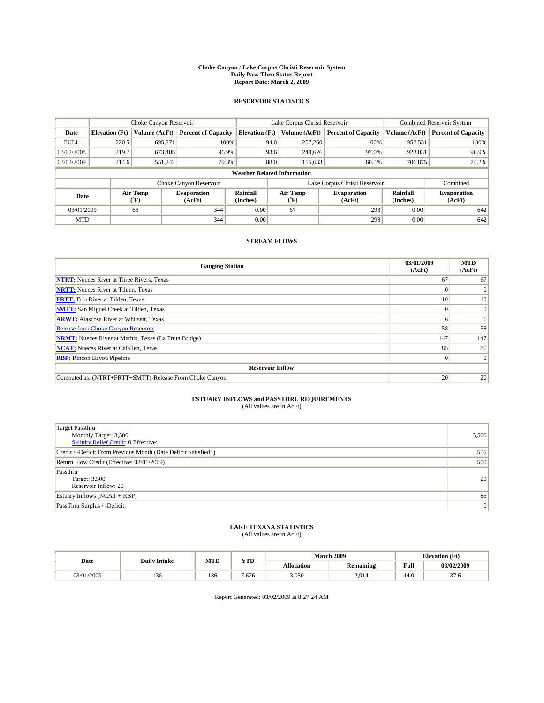#### **Choke Canyon / Lake Corpus Christi Reservoir System Daily Pass-Thru Status Report Report Date: March 2, 2009**

### **RESERVOIR STATISTICS**

|             | Choke Canyon Reservoir             |                  |                              |                             | Lake Corpus Christi Reservoir | Combined Reservoir System    |                      |                              |  |  |
|-------------|------------------------------------|------------------|------------------------------|-----------------------------|-------------------------------|------------------------------|----------------------|------------------------------|--|--|
| Date        | <b>Elevation</b> (Ft)              | Volume (AcFt)    | <b>Percent of Capacity</b>   | <b>Elevation</b> (Ft)       | Volume (AcFt)                 | <b>Percent of Capacity</b>   | Volume (AcFt)        | <b>Percent of Capacity</b>   |  |  |
| <b>FULL</b> | 220.5                              | 695,271          | 100%                         | 94.0                        | 257,260                       | 100%                         | 952,531              | 100%                         |  |  |
| 03/02/2008  | 219.7                              | 673,405          | 96.9%                        | 93.6                        | 249,626                       | 97.0%                        | 923,031              | 96.9%                        |  |  |
| 03/02/2009  | 214.6                              | 551,242          | 79.3%                        | 88.0                        | 155,633                       | 60.5%                        | 706,875              | 74.2%                        |  |  |
|             | <b>Weather Related Information</b> |                  |                              |                             |                               |                              |                      |                              |  |  |
|             |                                    |                  | Choke Canyon Reservoir       |                             | Lake Corpus Christi Reservoir |                              | Combined             |                              |  |  |
| Date        |                                    | Air Temp<br>(°F) | <b>Evaporation</b><br>(AcFt) | <b>Rainfall</b><br>(Inches) | Air Temp<br>(°F)              | <b>Evaporation</b><br>(AcFt) | Rainfall<br>(Inches) | <b>Evaporation</b><br>(AcFt) |  |  |
| 03/01/2009  |                                    | 65               | 344                          | 0.00                        | 67                            | 298                          | 0.00                 | 642                          |  |  |
| <b>MTD</b>  |                                    |                  | 344                          | 0.00                        |                               | 298                          | 0.00                 | 642                          |  |  |

## **STREAM FLOWS**

| <b>Gauging Station</b>                                       | 03/01/2009<br>(AcFt) | <b>MTD</b><br>(AcFt) |  |  |  |  |  |
|--------------------------------------------------------------|----------------------|----------------------|--|--|--|--|--|
| <b>NTRT:</b> Nueces River at Three Rivers, Texas             | 67                   | 67                   |  |  |  |  |  |
| <b>NRTT:</b> Nueces River at Tilden, Texas                   |                      | $\Omega$             |  |  |  |  |  |
| <b>FRTT:</b> Frio River at Tilden, Texas                     | 10                   | 10                   |  |  |  |  |  |
| <b>SMTT:</b> San Miguel Creek at Tilden, Texas               | $\theta$             | $\Omega$             |  |  |  |  |  |
| <b>ARWT:</b> Atascosa River at Whitsett, Texas               | o                    | 6                    |  |  |  |  |  |
| <b>Release from Choke Canyon Reservoir</b>                   | 58                   | 58                   |  |  |  |  |  |
| <b>NRMT:</b> Nueces River at Mathis, Texas (La Fruta Bridge) | 147                  | 147                  |  |  |  |  |  |
| <b>NCAT:</b> Nueces River at Calallen, Texas                 | 85                   | 85                   |  |  |  |  |  |
| <b>RBP:</b> Rincon Bayou Pipeline<br>$\vert 0 \vert$         |                      |                      |  |  |  |  |  |
| <b>Reservoir Inflow</b>                                      |                      |                      |  |  |  |  |  |
| Computed as: (NTRT+FRTT+SMTT)-Release From Choke Canyon      | 20                   | 20                   |  |  |  |  |  |

# **ESTUARY INFLOWS and PASSTHRU REQUIREMENTS**<br>(All values are in AcFt)

| <b>Target Passthru</b><br>Monthly Target: 3,500<br><b>Salinity Relief Credit: 0 Effective:</b> | 3,500 |
|------------------------------------------------------------------------------------------------|-------|
| Credit / -Deficit From Previous Month (Date Deficit Satisfied: )                               | 555   |
| Return Flow Credit (Effective: 03/01/2009)                                                     | 500   |
| Passthru<br>Target: 3,500<br>Reservoir Inflow: 20                                              | 20    |
| Estuary Inflows (NCAT + RBP)                                                                   | 85    |
| PassThru Surplus / -Deficit:                                                                   | 0     |

## **LAKE TEXANA STATISTICS** (All values are in AcFt)

|            | <b>Daily Intake</b> | <b>MTD</b> | <b>YTD</b> |                   | <b>March 2009</b> | <b>Elevation</b> (Ft) |                |
|------------|---------------------|------------|------------|-------------------|-------------------|-----------------------|----------------|
| Date       |                     |            |            | <b>Allocation</b> | <b>Remaining</b>  | Full                  | 03/02/2009     |
| 03/01/2009 | 136                 | 136        | .676       | 3,050             | 2.914             | 44.0                  | $\sim$<br>37.6 |

Report Generated: 03/02/2009 at 8:27:24 AM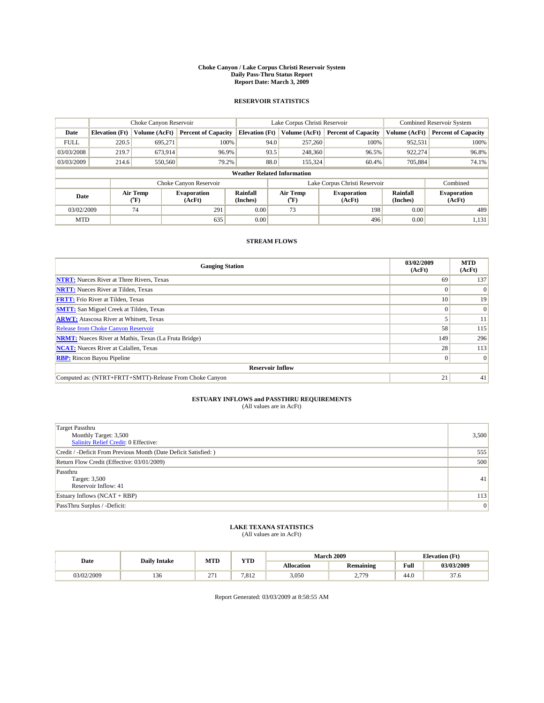#### **Choke Canyon / Lake Corpus Christi Reservoir System Daily Pass-Thru Status Report Report Date: March 3, 2009**

### **RESERVOIR STATISTICS**

|                                    | Choke Canyon Reservoir |                  |                              |                             | Lake Corpus Christi Reservoir | <b>Combined Reservoir System</b> |                      |                              |  |
|------------------------------------|------------------------|------------------|------------------------------|-----------------------------|-------------------------------|----------------------------------|----------------------|------------------------------|--|
| Date                               | <b>Elevation</b> (Ft)  | Volume (AcFt)    | <b>Percent of Capacity</b>   | <b>Elevation</b> (Ft)       | Volume (AcFt)                 | <b>Percent of Capacity</b>       | Volume (AcFt)        | <b>Percent of Capacity</b>   |  |
| <b>FULL</b>                        | 220.5                  | 695,271          | 100%                         | 94.0                        | 257,260                       | 100%                             | 952,531              | 100%                         |  |
| 03/03/2008                         | 219.7                  | 673,914          | 96.9%                        | 93.5                        | 248,360                       | 96.5%                            | 922,274              | 96.8%                        |  |
| 03/03/2009                         | 214.6                  | 550,560          | 79.2%                        | 88.0                        | 155,324                       | 60.4%                            | 705,884              | 74.1%                        |  |
| <b>Weather Related Information</b> |                        |                  |                              |                             |                               |                                  |                      |                              |  |
|                                    |                        |                  | Choke Canyon Reservoir       |                             | Lake Corpus Christi Reservoir |                                  | Combined             |                              |  |
| Date                               |                        | Air Temp<br>(°F) | <b>Evaporation</b><br>(AcFt) | <b>Rainfall</b><br>(Inches) | Air Temp<br>(°F)              | <b>Evaporation</b><br>(AcFt)     | Rainfall<br>(Inches) | <b>Evaporation</b><br>(AcFt) |  |
| 03/02/2009                         |                        | 74               | 291                          | 0.00                        | 73                            | 198                              | 0.00                 | 489                          |  |
| <b>MTD</b>                         |                        |                  | 635                          | 0.00                        |                               | 496                              | 0.00                 | 1,131                        |  |

## **STREAM FLOWS**

| <b>Gauging Station</b>                                       | 03/02/2009<br>(AcFt) | <b>MTD</b><br>(AcFt) |  |  |  |  |  |
|--------------------------------------------------------------|----------------------|----------------------|--|--|--|--|--|
| <b>NTRT:</b> Nueces River at Three Rivers, Texas             | 69                   | 137                  |  |  |  |  |  |
| <b>NRTT:</b> Nueces River at Tilden, Texas                   | $\Omega$             | $\Omega$             |  |  |  |  |  |
| <b>FRTT:</b> Frio River at Tilden, Texas                     | 10 <sup>1</sup>      | 19                   |  |  |  |  |  |
| <b>SMTT:</b> San Miguel Creek at Tilden, Texas               |                      | $\Omega$             |  |  |  |  |  |
| <b>ARWT:</b> Atascosa River at Whitsett, Texas               |                      | 11                   |  |  |  |  |  |
| <b>Release from Choke Canyon Reservoir</b>                   | 58                   | 115                  |  |  |  |  |  |
| <b>NRMT:</b> Nueces River at Mathis, Texas (La Fruta Bridge) | 149                  | 296                  |  |  |  |  |  |
| <b>NCAT:</b> Nueces River at Calallen, Texas                 | 28                   | 113                  |  |  |  |  |  |
| <b>RBP:</b> Rincon Bayou Pipeline                            | $\overline{0}$       | $\Omega$             |  |  |  |  |  |
| <b>Reservoir Inflow</b>                                      |                      |                      |  |  |  |  |  |
| Computed as: (NTRT+FRTT+SMTT)-Release From Choke Canyon      | 21                   | 41                   |  |  |  |  |  |

# **ESTUARY INFLOWS and PASSTHRU REQUIREMENTS**<br>(All values are in AcFt)

| <b>Target Passthru</b><br>Monthly Target: 3,500<br><b>Salinity Relief Credit: 0 Effective:</b> | 3,500 |
|------------------------------------------------------------------------------------------------|-------|
| Credit / -Deficit From Previous Month (Date Deficit Satisfied: )                               | 555   |
| Return Flow Credit (Effective: 03/01/2009)                                                     | 500   |
| Passthru<br>Target: 3,500<br>Reservoir Inflow: 41                                              | 41    |
| Estuary Inflows (NCAT + RBP)                                                                   | 113   |
| PassThru Surplus / -Deficit:                                                                   | 0     |

## **LAKE TEXANA STATISTICS** (All values are in AcFt)

|            | <b>Daily Intake</b> | <b>MTD</b>    | <b>YTD</b> |                   | <b>March 2009</b> | <b>Elevation</b> (Ft) |                |
|------------|---------------------|---------------|------------|-------------------|-------------------|-----------------------|----------------|
| Date       |                     |               |            | <b>Allocation</b> | <b>Remaining</b>  | Full                  | 03/03/2009     |
| 03/02/2009 | 150                 | $\sim$<br>21. | 7.812      | 3,050             | 270<br><u>.</u>   | 44.0                  | $\sim$<br>37.0 |

Report Generated: 03/03/2009 at 8:58:55 AM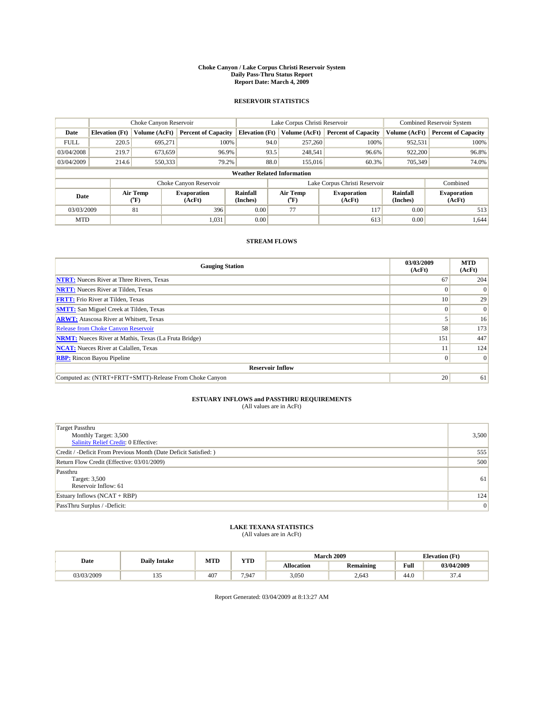#### **Choke Canyon / Lake Corpus Christi Reservoir System Daily Pass-Thru Status Report Report Date: March 4, 2009**

### **RESERVOIR STATISTICS**

|                                    | Choke Canyon Reservoir |                                    |                              | Lake Corpus Christi Reservoir | <b>Combined Reservoir System</b> |                             |                               |                      |                              |
|------------------------------------|------------------------|------------------------------------|------------------------------|-------------------------------|----------------------------------|-----------------------------|-------------------------------|----------------------|------------------------------|
| Date                               | <b>Elevation</b> (Ft)  | Volume (AcFt)                      | <b>Percent of Capacity</b>   | <b>Elevation</b> (Ft)         |                                  | Volume (AcFt)               | <b>Percent of Capacity</b>    | Volume (AcFt)        | <b>Percent of Capacity</b>   |
| <b>FULL</b>                        | 220.5                  | 695,271                            | 100%                         |                               | 94.0                             | 257,260                     | 100%                          | 952,531              | 100%                         |
| 03/04/2008                         | 219.7                  | 673,659                            | 96.9%                        |                               | 93.5                             | 248,541                     | 96.6%                         | 922,200              | 96.8%                        |
| 03/04/2009                         | 214.6                  | 550,333                            | 79.2%                        |                               | 88.0                             | 155,016                     | 60.3%                         | 705.349              | 74.0%                        |
| <b>Weather Related Information</b> |                        |                                    |                              |                               |                                  |                             |                               |                      |                              |
|                                    |                        |                                    | Choke Canyon Reservoir       |                               |                                  |                             | Lake Corpus Christi Reservoir |                      | Combined                     |
| Date                               |                        | Air Temp<br>${}^{\prime\prime}$ F) | <b>Evaporation</b><br>(AcFt) | <b>Rainfall</b><br>(Inches)   |                                  | Air Temp<br>$({}^{\circ}F)$ | <b>Evaporation</b><br>(AcFt)  | Rainfall<br>(Inches) | <b>Evaporation</b><br>(AcFt) |
| 03/03/2009                         |                        | 81                                 | 396                          | 0.00                          |                                  | 77                          | 117                           | 0.00                 | 513                          |
| <b>MTD</b>                         |                        |                                    | 1,031                        | 0.00                          |                                  |                             | 613                           | 0.00                 | 1,644                        |

## **STREAM FLOWS**

| <b>Gauging Station</b>                                       | 03/03/2009<br>(AcFt) | <b>MTD</b><br>(AcFt) |  |  |  |  |
|--------------------------------------------------------------|----------------------|----------------------|--|--|--|--|
| <b>NTRT:</b> Nueces River at Three Rivers, Texas             | 67                   | 204                  |  |  |  |  |
| <b>NRTT:</b> Nueces River at Tilden, Texas                   |                      | $\Omega$             |  |  |  |  |
| <b>FRTT:</b> Frio River at Tilden, Texas                     | 10 <sup>1</sup>      | 29                   |  |  |  |  |
| <b>SMTT:</b> San Miguel Creek at Tilden, Texas               | $\Omega$             | $\Omega$             |  |  |  |  |
| <b>ARWT:</b> Atascosa River at Whitsett, Texas               |                      | 16                   |  |  |  |  |
| <b>Release from Choke Canyon Reservoir</b>                   | 58                   | 173                  |  |  |  |  |
| <b>NRMT:</b> Nueces River at Mathis, Texas (La Fruta Bridge) | 151                  | 447                  |  |  |  |  |
| <b>NCAT:</b> Nueces River at Calallen, Texas                 |                      | 124                  |  |  |  |  |
| <b>RBP:</b> Rincon Bayou Pipeline                            | $\overline{0}$       | $\Omega$             |  |  |  |  |
| <b>Reservoir Inflow</b>                                      |                      |                      |  |  |  |  |
| Computed as: (NTRT+FRTT+SMTT)-Release From Choke Canyon      | 20                   | 61                   |  |  |  |  |

# **ESTUARY INFLOWS and PASSTHRU REQUIREMENTS**<br>(All values are in AcFt)

| <b>Target Passthru</b><br>Monthly Target: 3,500<br>Salinity Relief Credit: 0 Effective: | 3,500 |
|-----------------------------------------------------------------------------------------|-------|
| Credit / -Deficit From Previous Month (Date Deficit Satisfied: )                        | 555   |
| Return Flow Credit (Effective: 03/01/2009)                                              | 500   |
| Passthru<br>Target: 3,500<br>Reservoir Inflow: 61                                       | 61    |
| Estuary Inflows (NCAT + RBP)                                                            | 124   |
| PassThru Surplus / -Deficit:                                                            | 0     |

## **LAKE TEXANA STATISTICS** (All values are in AcFt)

| Date       | <b>Daily Intake</b> | <b>MTD</b>      | <b>VTD</b> |                   | <b>March 2009</b> | <b>Elevation</b> (Ft) |                |
|------------|---------------------|-----------------|------------|-------------------|-------------------|-----------------------|----------------|
|            |                     |                 | 1 I D      | <b>Allocation</b> | <b>Remaining</b>  | Full                  | 03/04/2009     |
| 03/03/2009 | س س                 | 40 <sup>7</sup> | 7.947      | 3,050             | 2.643             | 44.0                  | $\sim$<br>57.4 |

Report Generated: 03/04/2009 at 8:13:27 AM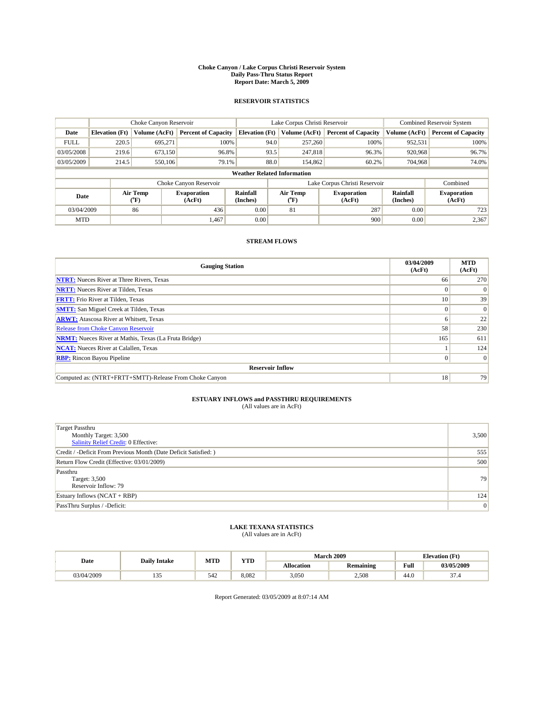#### **Choke Canyon / Lake Corpus Christi Reservoir System Daily Pass-Thru Status Report Report Date: March 5, 2009**

### **RESERVOIR STATISTICS**

|                                    |                       | Choke Canyon Reservoir |                              |                             | Lake Corpus Christi Reservoir | <b>Combined Reservoir System</b> |                      |                              |  |
|------------------------------------|-----------------------|------------------------|------------------------------|-----------------------------|-------------------------------|----------------------------------|----------------------|------------------------------|--|
| Date                               | <b>Elevation</b> (Ft) | Volume (AcFt)          | <b>Percent of Capacity</b>   | <b>Elevation</b> (Ft)       | Volume (AcFt)                 | <b>Percent of Capacity</b>       | Volume (AcFt)        | <b>Percent of Capacity</b>   |  |
| <b>FULL</b>                        | 220.5                 | 695,271                | 100%                         |                             | 94.0<br>257,260               | 100%                             | 952,531              | 100%                         |  |
| 03/05/2008                         | 219.6                 | 673,150                | 96.8%                        |                             | 93.5<br>247,818               | 96.3%                            | 920,968              | 96.7%                        |  |
| 03/05/2009                         | 214.5                 | 550,106                | 79.1%                        |                             | 88.0<br>154,862               | 60.2%                            | 704,968              | 74.0%                        |  |
| <b>Weather Related Information</b> |                       |                        |                              |                             |                               |                                  |                      |                              |  |
|                                    |                       |                        | Choke Canyon Reservoir       |                             |                               | Lake Corpus Christi Reservoir    |                      | Combined                     |  |
| Date                               |                       | Air Temp<br>(°F)       | <b>Evaporation</b><br>(AcFt) | <b>Rainfall</b><br>(Inches) | Air Temp<br>(°F)              | <b>Evaporation</b><br>(AcFt)     | Rainfall<br>(Inches) | <b>Evaporation</b><br>(AcFt) |  |
| 03/04/2009                         |                       | 86                     | 436                          | 0.00                        | 81                            | 287                              | 0.00                 | 723                          |  |
| <b>MTD</b>                         |                       |                        | 1.467                        | 0.00                        |                               | 900                              | 0.00                 | 2,367                        |  |

## **STREAM FLOWS**

| <b>Gauging Station</b>                                       | 03/04/2009<br>(AcFt) | <b>MTD</b><br>(AcFt) |  |  |  |  |
|--------------------------------------------------------------|----------------------|----------------------|--|--|--|--|
| <b>NTRT:</b> Nueces River at Three Rivers, Texas             | 66                   | 270                  |  |  |  |  |
| <b>NRTT:</b> Nueces River at Tilden, Texas                   |                      | $\Omega$             |  |  |  |  |
| <b>FRTT:</b> Frio River at Tilden, Texas                     | 10                   | 39                   |  |  |  |  |
| <b>SMTT:</b> San Miguel Creek at Tilden, Texas               |                      | $\Omega$             |  |  |  |  |
| <b>ARWT:</b> Atascosa River at Whitsett, Texas               | n                    | 22                   |  |  |  |  |
| Release from Choke Canyon Reservoir                          | 58                   | 230                  |  |  |  |  |
| <b>NRMT:</b> Nueces River at Mathis, Texas (La Fruta Bridge) | 165                  | 611                  |  |  |  |  |
| <b>NCAT:</b> Nueces River at Calallen, Texas                 |                      | 124                  |  |  |  |  |
| <b>RBP:</b> Rincon Bayou Pipeline                            | $\Omega$             | $\Omega$             |  |  |  |  |
| <b>Reservoir Inflow</b>                                      |                      |                      |  |  |  |  |
| Computed as: (NTRT+FRTT+SMTT)-Release From Choke Canyon      | 18                   | 79                   |  |  |  |  |

# **ESTUARY INFLOWS and PASSTHRU REQUIREMENTS**<br>(All values are in AcFt)

| <b>Target Passthru</b><br>Monthly Target: 3,500<br><b>Salinity Relief Credit: 0 Effective:</b> | 3,500 |
|------------------------------------------------------------------------------------------------|-------|
| Credit / -Deficit From Previous Month (Date Deficit Satisfied: )                               | 555   |
| Return Flow Credit (Effective: 03/01/2009)                                                     | 500   |
| Passthru<br>Target: 3,500<br>Reservoir Inflow: 79                                              | 79    |
| Estuary Inflows $(NCAT + RBP)$                                                                 | 124   |
| PassThru Surplus / -Deficit:                                                                   | 0     |

## **LAKE TEXANA STATISTICS** (All values are in AcFt)

|            | <b>Daily Intake</b> | <b>MTD</b> | <b>YTD</b> |                   | <b>March 2009</b> | <b>Elevation</b> (Ft) |                |
|------------|---------------------|------------|------------|-------------------|-------------------|-----------------------|----------------|
| Date       |                     |            |            | <b>Allocation</b> | <b>Remaining</b>  | Full                  | 03/05/2009     |
| 03/04/2009 | 1 J J               | 542        | 8.082      | 3,050             | 2,508             | 44.0                  | $\sim$<br>51.4 |

Report Generated: 03/05/2009 at 8:07:14 AM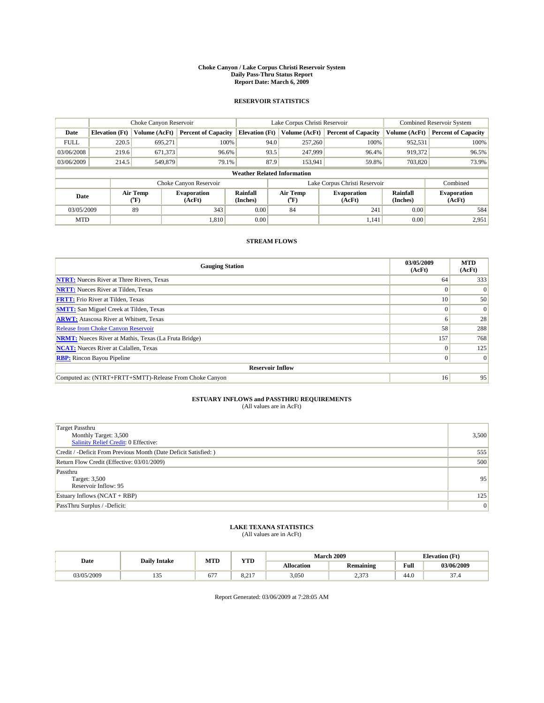#### **Choke Canyon / Lake Corpus Christi Reservoir System Daily Pass-Thru Status Report Report Date: March 6, 2009**

### **RESERVOIR STATISTICS**

|                                    | Choke Canyon Reservoir |                  |                              | Lake Corpus Christi Reservoir | <b>Combined Reservoir System</b> |               |                              |                      |                              |
|------------------------------------|------------------------|------------------|------------------------------|-------------------------------|----------------------------------|---------------|------------------------------|----------------------|------------------------------|
| Date                               | <b>Elevation</b> (Ft)  | Volume (AcFt)    | <b>Percent of Capacity</b>   | <b>Elevation</b> (Ft)         |                                  | Volume (AcFt) | <b>Percent of Capacity</b>   | Volume (AcFt)        | <b>Percent of Capacity</b>   |
| <b>FULL</b>                        | 220.5                  | 695,271          | 100%                         |                               | 94.0                             | 257,260       | 100%                         | 952,531              | 100%                         |
| 03/06/2008                         | 219.6                  | 671,373          | 96.6%                        |                               | 93.5                             | 247,999       | 96.4%                        | 919,372              | 96.5%                        |
| 03/06/2009                         | 214.5                  | 549,879          | 79.1%                        |                               | 87.9                             | 153,941       | 59.8%                        | 703,820              | 73.9%                        |
| <b>Weather Related Information</b> |                        |                  |                              |                               |                                  |               |                              |                      |                              |
|                                    |                        |                  | Choke Canyon Reservoir       |                               | Lake Corpus Christi Reservoir    |               |                              |                      | Combined                     |
| Date                               |                        | Air Temp<br>(°F) | <b>Evaporation</b><br>(AcFt) | <b>Rainfall</b><br>(Inches)   | Air Temp<br>(°F)                 |               | <b>Evaporation</b><br>(AcFt) | Rainfall<br>(Inches) | <b>Evaporation</b><br>(AcFt) |
| 03/05/2009                         |                        | 89               | 343                          | 0.00                          | 84                               |               | 241                          | 0.00                 | 584                          |
| <b>MTD</b>                         |                        |                  | 1.810                        | 0.00                          |                                  |               | 1,141                        | 0.00                 | 2,951                        |

## **STREAM FLOWS**

| <b>Gauging Station</b>                                       | 03/05/2009<br>(AcFt) | <b>MTD</b><br>(AcFt) |  |  |  |  |  |
|--------------------------------------------------------------|----------------------|----------------------|--|--|--|--|--|
| <b>NTRT:</b> Nueces River at Three Rivers, Texas             | 64                   | 333                  |  |  |  |  |  |
| <b>NRTT:</b> Nueces River at Tilden, Texas                   |                      | $\Omega$             |  |  |  |  |  |
| <b>FRTT:</b> Frio River at Tilden, Texas                     | 10                   | 50                   |  |  |  |  |  |
| <b>SMTT:</b> San Miguel Creek at Tilden, Texas               |                      | $\vert 0 \vert$      |  |  |  |  |  |
| <b>ARWT:</b> Atascosa River at Whitsett, Texas               |                      | 28                   |  |  |  |  |  |
| <b>Release from Choke Canyon Reservoir</b>                   | 58                   | 288                  |  |  |  |  |  |
| <b>NRMT:</b> Nueces River at Mathis, Texas (La Fruta Bridge) | 157                  | 768                  |  |  |  |  |  |
| <b>NCAT:</b> Nueces River at Calallen, Texas                 |                      | 125                  |  |  |  |  |  |
| <b>RBP:</b> Rincon Bayou Pipeline                            | 0                    | $\Omega$             |  |  |  |  |  |
| <b>Reservoir Inflow</b>                                      |                      |                      |  |  |  |  |  |
| Computed as: (NTRT+FRTT+SMTT)-Release From Choke Canyon      | 16                   | 95                   |  |  |  |  |  |

# **ESTUARY INFLOWS and PASSTHRU REQUIREMENTS**<br>(All values are in AcFt)

| <b>Target Passthru</b><br>Monthly Target: 3,500<br>Salinity Relief Credit: 0 Effective: | 3,500 |
|-----------------------------------------------------------------------------------------|-------|
| Credit / -Deficit From Previous Month (Date Deficit Satisfied: )                        | 555   |
| Return Flow Credit (Effective: 03/01/2009)                                              | 500   |
| Passthru<br>Target: 3,500<br>Reservoir Inflow: 95                                       | 95    |
| Estuary Inflows (NCAT + RBP)                                                            | 125   |
| PassThru Surplus / -Deficit:                                                            | 0     |

## **LAKE TEXANA STATISTICS** (All values are in AcFt)

| Date       | <b>Daily Intake</b> | <b>MTD</b>          | <b>VTD</b>  |                   | <b>March 2009</b> | <b>Elevation</b> (Ft) |                |
|------------|---------------------|---------------------|-------------|-------------------|-------------------|-----------------------|----------------|
|            |                     |                     | 1 I D       | <b>Allocation</b> | <b>Remaining</b>  | Full                  | 03/06/2009     |
| 03/05/2009 | س س                 | ---<br>$\mathbf{U}$ | 215<br>0.41 | 3,050             | $\sim$<br>ا ب     | 44.0                  | $\sim$<br>57.4 |

Report Generated: 03/06/2009 at 7:28:05 AM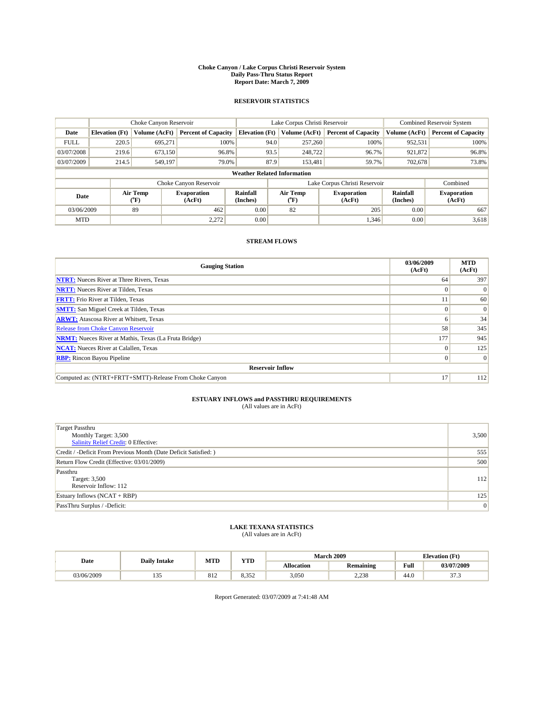#### **Choke Canyon / Lake Corpus Christi Reservoir System Daily Pass-Thru Status Report Report Date: March 7, 2009**

### **RESERVOIR STATISTICS**

|             | Choke Canyon Reservoir             |                             |                              |                             | Lake Corpus Christi Reservoir |                           |                               |                      | <b>Combined Reservoir System</b> |  |
|-------------|------------------------------------|-----------------------------|------------------------------|-----------------------------|-------------------------------|---------------------------|-------------------------------|----------------------|----------------------------------|--|
| Date        | <b>Elevation</b> (Ft)              | Volume (AcFt)               | <b>Percent of Capacity</b>   | <b>Elevation</b> (Ft)       |                               | Volume (AcFt)             | <b>Percent of Capacity</b>    | Volume (AcFt)        | <b>Percent of Capacity</b>       |  |
| <b>FULL</b> | 220.5                              | 695,271                     | 100%                         |                             | 94.0                          | 257,260                   | 100%                          | 952,531              | 100%                             |  |
| 03/07/2008  | 219.6                              | 673,150                     | 96.8%                        |                             | 93.5                          | 248,722                   | 96.7%                         | 921,872              | 96.8%                            |  |
| 03/07/2009  | 214.5                              | 549,197                     | 79.0%                        |                             | 87.9                          | 153.481                   | 59.7%                         | 702.678              | 73.8%                            |  |
|             | <b>Weather Related Information</b> |                             |                              |                             |                               |                           |                               |                      |                                  |  |
|             |                                    |                             | Choke Canyon Reservoir       |                             |                               |                           | Lake Corpus Christi Reservoir |                      | Combined                         |  |
| Date        |                                    | Air Temp<br>${}^{\circ}$ F) | <b>Evaporation</b><br>(AcFt) | <b>Rainfall</b><br>(Inches) |                               | Air Temp<br>$(^{\circ}F)$ | <b>Evaporation</b><br>(AcFt)  | Rainfall<br>(Inches) | <b>Evaporation</b><br>(AcFt)     |  |
| 03/06/2009  |                                    | 89                          | 462                          | 0.00                        |                               | 82                        | 205                           | 0.00                 | 667                              |  |
| <b>MTD</b>  |                                    |                             | 2,272                        | 0.00                        |                               |                           | 1,346                         | 0.00                 | 3,618                            |  |

## **STREAM FLOWS**

| <b>Gauging Station</b>                                       | 03/06/2009<br>(AcFt) | <b>MTD</b><br>(AcFt) |
|--------------------------------------------------------------|----------------------|----------------------|
| <b>NTRT:</b> Nueces River at Three Rivers, Texas             | 64                   | 397                  |
| <b>NRTT:</b> Nueces River at Tilden, Texas                   | $\Omega$             | $\Omega$             |
| <b>FRTT:</b> Frio River at Tilden, Texas                     |                      | 60                   |
| <b>SMTT:</b> San Miguel Creek at Tilden, Texas               |                      | $\Omega$             |
| <b>ARWT:</b> Atascosa River at Whitsett, Texas               | o                    | 34                   |
| Release from Choke Canyon Reservoir                          | 58                   | 345                  |
| <b>NRMT:</b> Nueces River at Mathis, Texas (La Fruta Bridge) | 177                  | 945                  |
| <b>NCAT:</b> Nueces River at Calallen, Texas                 | $\Omega$             | 125                  |
| <b>RBP:</b> Rincon Bayou Pipeline                            | $\Omega$             | $\Omega$             |
| <b>Reservoir Inflow</b>                                      |                      |                      |
| Computed as: (NTRT+FRTT+SMTT)-Release From Choke Canyon      | 17                   | 112                  |

# **ESTUARY INFLOWS and PASSTHRU REQUIREMENTS**<br>(All values are in AcFt)

| <b>Target Passthru</b><br>Monthly Target: 3,500<br>Salinity Relief Credit: 0 Effective: | 3,500 |
|-----------------------------------------------------------------------------------------|-------|
| Credit / -Deficit From Previous Month (Date Deficit Satisfied: )                        | 555   |
| Return Flow Credit (Effective: 03/01/2009)                                              | 500   |
| Passthru<br>Target: 3,500<br>Reservoir Inflow: 112                                      | 112   |
| Estuary Inflows (NCAT + RBP)                                                            | 125   |
| PassThru Surplus / -Deficit:                                                            | 0     |

## **LAKE TEXANA STATISTICS** (All values are in AcFt)

|            | <b>Daily Intake</b> | <b>MTD</b> | <b>YTD</b>     | <b>March 2009</b> | <b>Elevation</b> (Ft) |      |                         |
|------------|---------------------|------------|----------------|-------------------|-----------------------|------|-------------------------|
| Date       |                     |            |                | <b>Allocation</b> | <b>Remaining</b>      | Full | 03/07/2009              |
| 03/06/2009 | 1 J J               | 812        | 25'<br><i></i> | 3,050             | 2.238                 | 44.0 | $\sim$ $\sim$<br>ن. ا ر |

Report Generated: 03/07/2009 at 7:41:48 AM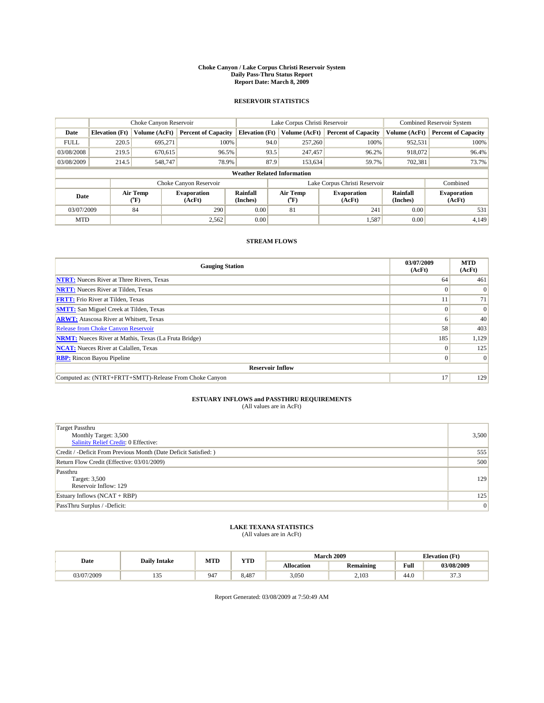#### **Choke Canyon / Lake Corpus Christi Reservoir System Daily Pass-Thru Status Report Report Date: March 8, 2009**

### **RESERVOIR STATISTICS**

|                                    | Choke Canyon Reservoir |                             |                              |                             | Lake Corpus Christi Reservoir |               |                               |                      | <b>Combined Reservoir System</b> |  |
|------------------------------------|------------------------|-----------------------------|------------------------------|-----------------------------|-------------------------------|---------------|-------------------------------|----------------------|----------------------------------|--|
| Date                               | <b>Elevation</b> (Ft)  | Volume (AcFt)               | <b>Percent of Capacity</b>   | <b>Elevation (Ft)</b>       |                               | Volume (AcFt) | <b>Percent of Capacity</b>    | Volume (AcFt)        | <b>Percent of Capacity</b>       |  |
| <b>FULL</b>                        | 220.5                  | 695,271                     | 100%                         |                             | 94.0                          | 257,260       | 100%                          | 952,531              | 100%                             |  |
| 03/08/2008                         | 219.5                  | 670.615                     | 96.5%                        |                             | 93.5                          | 247,457       | 96.2%                         | 918,072              | 96.4%                            |  |
| 03/08/2009                         | 214.5                  | 548,747                     | 78.9%                        |                             | 87.9                          | 153,634       | 59.7%                         | 702,381              | 73.7%                            |  |
| <b>Weather Related Information</b> |                        |                             |                              |                             |                               |               |                               |                      |                                  |  |
|                                    |                        |                             | Choke Canyon Reservoir       |                             |                               |               | Lake Corpus Christi Reservoir |                      | Combined                         |  |
| Date                               |                        | Air Temp<br>${}^{\circ}$ F) | <b>Evaporation</b><br>(AcFt) | <b>Rainfall</b><br>(Inches) | Air Temp<br>$(^oF)$           |               | <b>Evaporation</b><br>(AcFt)  | Rainfall<br>(Inches) | <b>Evaporation</b><br>(AcFt)     |  |
| 03/07/2009                         |                        | 84                          | 290                          | 0.00                        | 81                            |               | 241                           | 0.00                 | 531                              |  |
| <b>MTD</b>                         |                        |                             | 2,562                        | 0.00                        |                               |               | 1,587                         | 0.00                 | 4,149                            |  |

## **STREAM FLOWS**

| <b>Gauging Station</b>                                       | 03/07/2009<br>(AcFt) | <b>MTD</b><br>(AcFt) |
|--------------------------------------------------------------|----------------------|----------------------|
| <b>NTRT:</b> Nueces River at Three Rivers, Texas             | 64                   | 461                  |
| <b>NRTT:</b> Nueces River at Tilden, Texas                   | $\Omega$             |                      |
| <b>FRTT:</b> Frio River at Tilden, Texas                     |                      | 71                   |
| <b>SMTT:</b> San Miguel Creek at Tilden, Texas               |                      | $\Omega$             |
| <b>ARWT:</b> Atascosa River at Whitsett, Texas               | o                    | 40                   |
| <b>Release from Choke Canyon Reservoir</b>                   | 58                   | 403                  |
| <b>NRMT:</b> Nueces River at Mathis, Texas (La Fruta Bridge) | 185                  | 1,129                |
| <b>NCAT:</b> Nueces River at Calallen, Texas                 | $\theta$             | 125                  |
| <b>RBP:</b> Rincon Bayou Pipeline                            | $\Omega$             | $\Omega$             |
| <b>Reservoir Inflow</b>                                      |                      |                      |
| Computed as: (NTRT+FRTT+SMTT)-Release From Choke Canyon      | 17                   | 129                  |

# **ESTUARY INFLOWS and PASSTHRU REQUIREMENTS**<br>(All values are in AcFt)

| <b>Target Passthru</b><br>Monthly Target: 3,500<br>Salinity Relief Credit: 0 Effective: | 3,500 |
|-----------------------------------------------------------------------------------------|-------|
| Credit / -Deficit From Previous Month (Date Deficit Satisfied: )                        | 555   |
| Return Flow Credit (Effective: 03/01/2009)                                              | 500   |
| Passthru<br>Target: 3,500<br>Reservoir Inflow: 129                                      | 129   |
| Estuary Inflows (NCAT + RBP)                                                            | 125   |
| PassThru Surplus / -Deficit:                                                            | 0     |

## **LAKE TEXANA STATISTICS** (All values are in AcFt)

| Date       | <b>Daily Intake</b> | <b>MTD</b> | <b>VTD</b><br>1 I D |                   | <b>March 2009</b> | <b>Elevation</b> (Ft) |              |
|------------|---------------------|------------|---------------------|-------------------|-------------------|-----------------------|--------------|
|            |                     |            |                     | <b>Allocation</b> | <b>Remaining</b>  | Full                  | 03/08/2009   |
| 03/07/2009 | س س                 | 947        | 8.487               | 3,050             | 2.103             | 44.0                  | $\sim$<br>ر. |

Report Generated: 03/08/2009 at 7:50:49 AM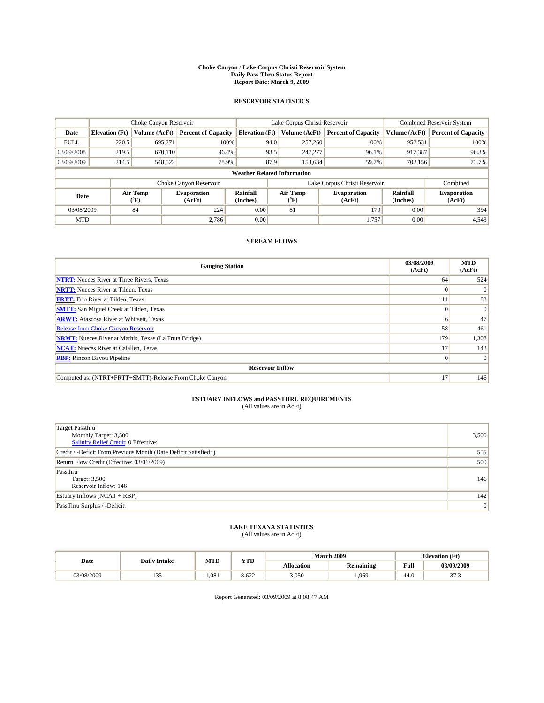#### **Choke Canyon / Lake Corpus Christi Reservoir System Daily Pass-Thru Status Report Report Date: March 9, 2009**

### **RESERVOIR STATISTICS**

|             |                                    | Choke Canyon Reservoir |                              |                             | Lake Corpus Christi Reservoir | <b>Combined Reservoir System</b> |                      |                              |  |  |
|-------------|------------------------------------|------------------------|------------------------------|-----------------------------|-------------------------------|----------------------------------|----------------------|------------------------------|--|--|
| Date        | <b>Elevation</b> (Ft)              | Volume (AcFt)          | <b>Percent of Capacity</b>   | <b>Elevation</b> (Ft)       | Volume (AcFt)                 | <b>Percent of Capacity</b>       | Volume (AcFt)        | <b>Percent of Capacity</b>   |  |  |
| <b>FULL</b> | 220.5                              | 695,271                | 100%                         |                             | 94.0<br>257,260               | 100%                             | 952,531              | 100%                         |  |  |
| 03/09/2008  | 219.5                              | 670,110                | 96.4%                        |                             | 93.5<br>247,277               | 96.1%                            | 917,387              | 96.3%                        |  |  |
| 03/09/2009  | 214.5                              | 548,522                | 78.9%                        |                             | 87.9<br>153,634               | 59.7%                            | 702,156              | 73.7%                        |  |  |
|             | <b>Weather Related Information</b> |                        |                              |                             |                               |                                  |                      |                              |  |  |
|             |                                    |                        | Choke Canyon Reservoir       |                             |                               | Lake Corpus Christi Reservoir    |                      | Combined                     |  |  |
| Date        |                                    | Air Temp<br>(°F)       | <b>Evaporation</b><br>(AcFt) | <b>Rainfall</b><br>(Inches) | Air Temp<br>(°F)              | <b>Evaporation</b><br>(AcFt)     | Rainfall<br>(Inches) | <b>Evaporation</b><br>(AcFt) |  |  |
| 03/08/2009  |                                    | 84                     | 224                          | 0.00                        | 81                            | 170                              | 0.00                 | 394                          |  |  |
| <b>MTD</b>  |                                    |                        | 2.786                        | 0.00                        |                               | 1.757                            | 0.00                 | 4,543                        |  |  |

## **STREAM FLOWS**

| <b>Gauging Station</b>                                       | 03/08/2009<br>(AcFt) | <b>MTD</b><br>(AcFt) |
|--------------------------------------------------------------|----------------------|----------------------|
| <b>NTRT:</b> Nueces River at Three Rivers, Texas             | 64                   | 524                  |
| <b>NRTT:</b> Nueces River at Tilden, Texas                   | $\Omega$             | $\Omega$             |
| <b>FRTT:</b> Frio River at Tilden, Texas                     |                      | 82                   |
| <b>SMTT:</b> San Miguel Creek at Tilden, Texas               |                      | $\Omega$             |
| <b>ARWT:</b> Atascosa River at Whitsett, Texas               | <sub>0</sub>         | 47                   |
| Release from Choke Canyon Reservoir                          | 58                   | 461                  |
| <b>NRMT:</b> Nueces River at Mathis, Texas (La Fruta Bridge) | 179                  | 1,308                |
| <b>NCAT:</b> Nueces River at Calallen, Texas                 | 17                   | 142                  |
| <b>RBP:</b> Rincon Bayou Pipeline                            | $\overline{0}$       | $\Omega$             |
| <b>Reservoir Inflow</b>                                      |                      |                      |
| Computed as: (NTRT+FRTT+SMTT)-Release From Choke Canyon      | 17                   | 146                  |

# **ESTUARY INFLOWS and PASSTHRU REQUIREMENTS**<br>(All values are in AcFt)

| <b>Target Passthru</b><br>Monthly Target: 3,500<br>Salinity Relief Credit: 0 Effective: | 3,500 |
|-----------------------------------------------------------------------------------------|-------|
| Credit / -Deficit From Previous Month (Date Deficit Satisfied: )                        | 555   |
| Return Flow Credit (Effective: 03/01/2009)                                              | 500   |
| Passthru<br>Target: 3,500<br>Reservoir Inflow: 146                                      | 146   |
| Estuary Inflows (NCAT + RBP)                                                            | 142   |
| PassThru Surplus / -Deficit:                                                            | 0     |

## **LAKE TEXANA STATISTICS** (All values are in AcFt)

|            | <b>Daily Intake</b> | MTD  | <b>XZOTE</b> |                   | <b>March 2009</b> | <b>Elevation</b> (Ft) |             |
|------------|---------------------|------|--------------|-------------------|-------------------|-----------------------|-------------|
| Date       |                     |      | .            | <b>Allocation</b> | <b>Remaining</b>  | Full                  | 03/09/2009  |
| 03/08/2009 | .                   | .081 | 8.622        | 3.050             | 1,969             | 44.U                  | $\sim$<br>. |

Report Generated: 03/09/2009 at 8:08:47 AM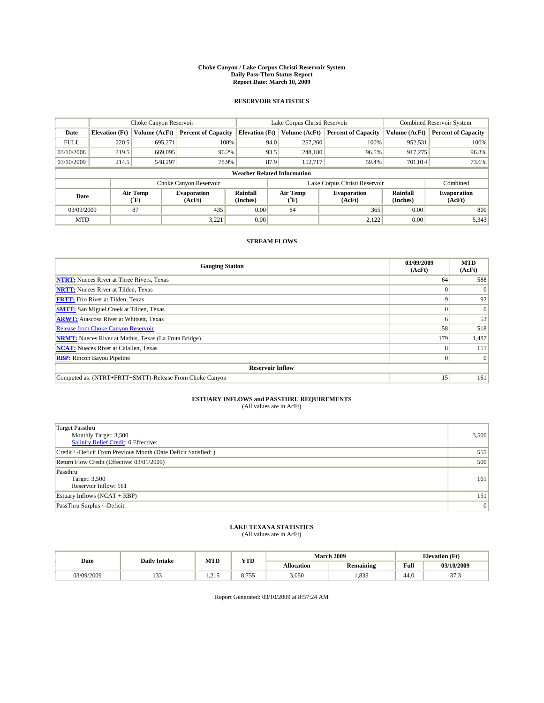#### **Choke Canyon / Lake Corpus Christi Reservoir System Daily Pass-Thru Status Report Report Date: March 10, 2009**

### **RESERVOIR STATISTICS**

|                                    | Choke Canyon Reservoir |                                           |                              |                       | Lake Corpus Christi Reservoir |                              | <b>Combined Reservoir System</b> |                              |
|------------------------------------|------------------------|-------------------------------------------|------------------------------|-----------------------|-------------------------------|------------------------------|----------------------------------|------------------------------|
| Date                               | <b>Elevation</b> (Ft)  | Volume (AcFt)                             | <b>Percent of Capacity</b>   | <b>Elevation</b> (Ft) | Volume (AcFt)                 | <b>Percent of Capacity</b>   | Volume (AcFt)                    | <b>Percent of Capacity</b>   |
| <b>FULL</b>                        | 220.5                  | 695.271                                   | 100%                         |                       | 94.0<br>257,260               | 100%                         | 952,531                          | 100%                         |
| 03/10/2008                         | 219.5                  | 669,095                                   | 96.2%                        |                       | 93.5<br>248,180               | 96.5%                        | 917,275                          | 96.3%                        |
| 03/10/2009                         | 214.5                  | 548,297                                   | 78.9%                        |                       | 87.9<br>152,717               | 59.4%                        | 701.014                          | 73.6%                        |
| <b>Weather Related Information</b> |                        |                                           |                              |                       |                               |                              |                                  |                              |
|                                    |                        |                                           | Choke Canyon Reservoir       |                       | Lake Corpus Christi Reservoir |                              | Combined                         |                              |
| Date                               |                        | Air Temp<br>$({}^{\mathrm{o}}\mathrm{F})$ | <b>Evaporation</b><br>(AcFt) | Rainfall<br>(Inches)  | Air Temp<br>(°F)              | <b>Evaporation</b><br>(AcFt) | Rainfall<br>(Inches)             | <b>Evaporation</b><br>(AcFt) |
| 03/09/2009                         |                        | 87                                        | 435                          | 0.00                  | 84                            | 365                          | 0.00                             | 800                          |
| <b>MTD</b>                         |                        |                                           | 3,221                        | 0.00                  |                               | 2,122                        | 0.00                             | 5,343                        |

## **STREAM FLOWS**

| <b>Gauging Station</b>                                       | 03/09/2009<br>(AcFt) | <b>MTD</b><br>(AcFt) |  |  |  |  |  |
|--------------------------------------------------------------|----------------------|----------------------|--|--|--|--|--|
| <b>NTRT:</b> Nueces River at Three Rivers, Texas             | 64                   | 588                  |  |  |  |  |  |
| <b>NRTT:</b> Nueces River at Tilden, Texas                   |                      | $\Omega$             |  |  |  |  |  |
| <b>FRTT:</b> Frio River at Tilden, Texas                     | 9                    | 92                   |  |  |  |  |  |
| <b>SMTT:</b> San Miguel Creek at Tilden, Texas               |                      | $\Omega$             |  |  |  |  |  |
| <b>ARWT:</b> Atascosa River at Whitsett, Texas               | <sub>0</sub>         | 53                   |  |  |  |  |  |
| <b>Release from Choke Canyon Reservoir</b>                   | 58                   | 518                  |  |  |  |  |  |
| <b>NRMT:</b> Nueces River at Mathis, Texas (La Fruta Bridge) | 179                  | 1,487                |  |  |  |  |  |
| <b>NCAT:</b> Nueces River at Calallen, Texas                 | 8                    | 151                  |  |  |  |  |  |
| <b>RBP:</b> Rincon Bayou Pipeline                            | $\overline{0}$       | $\Omega$             |  |  |  |  |  |
| <b>Reservoir Inflow</b>                                      |                      |                      |  |  |  |  |  |
| Computed as: (NTRT+FRTT+SMTT)-Release From Choke Canyon      | 15 <sup>1</sup>      | 161                  |  |  |  |  |  |

# **ESTUARY INFLOWS and PASSTHRU REQUIREMENTS**<br>(All values are in AcFt)

| <b>Target Passthru</b><br>Monthly Target: 3,500<br><b>Salinity Relief Credit: 0 Effective:</b> | 3,500 |
|------------------------------------------------------------------------------------------------|-------|
| Credit / -Deficit From Previous Month (Date Deficit Satisfied: )                               | 555   |
| Return Flow Credit (Effective: 03/01/2009)                                                     | 500   |
| Passthru<br>Target: 3,500<br>Reservoir Inflow: 161                                             | 161   |
| Estuary Inflows $(NCAT + RBP)$                                                                 | 151   |
| PassThru Surplus / -Deficit:                                                                   | 0     |

## **LAKE TEXANA STATISTICS** (All values are in AcFt)

|            | <b>Daily Intake</b> | MTD                       | VTT<br>1 I D     |                   | <b>March 2009</b> | <b>Elevation</b> (Ft) |             |
|------------|---------------------|---------------------------|------------------|-------------------|-------------------|-----------------------|-------------|
| Date       |                     |                           |                  | <b>Allocation</b> | <b>Remaining</b>  | Full                  | 03/10/2009  |
| 03/09/2009 | $\sim$<br>.         | $\sim$ $\sim$ $\sim$<br>. | 0.75<br><u>.</u> | 3,050             | 1,835             | -44.U                 | $\sim$<br>. |

Report Generated: 03/10/2009 at 8:57:24 AM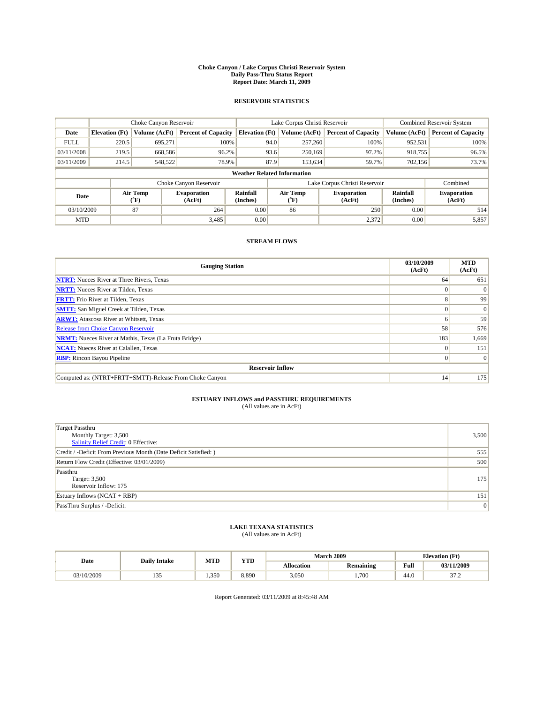#### **Choke Canyon / Lake Corpus Christi Reservoir System Daily Pass-Thru Status Report Report Date: March 11, 2009**

### **RESERVOIR STATISTICS**

|             | Choke Canyon Reservoir             |                  |                              |                             | Lake Corpus Christi Reservoir | <b>Combined Reservoir System</b> |                      |                              |  |
|-------------|------------------------------------|------------------|------------------------------|-----------------------------|-------------------------------|----------------------------------|----------------------|------------------------------|--|
| Date        | <b>Elevation</b> (Ft)              | Volume (AcFt)    | <b>Percent of Capacity</b>   | <b>Elevation</b> (Ft)       | Volume (AcFt)                 | <b>Percent of Capacity</b>       | Volume (AcFt)        | <b>Percent of Capacity</b>   |  |
| <b>FULL</b> | 220.5                              | 695,271          | 100%                         | 94.0                        | 257,260                       | 100%                             | 952,531              | 100%                         |  |
| 03/11/2008  | 219.5                              | 668,586          | 96.2%                        |                             | 93.6<br>250,169               | 97.2%                            | 918,755              | 96.5%                        |  |
| 03/11/2009  | 214.5                              | 548,522          | 78.9%                        | 87.9                        | 153,634                       | 59.7%                            | 702,156              | 73.7%                        |  |
|             | <b>Weather Related Information</b> |                  |                              |                             |                               |                                  |                      |                              |  |
|             |                                    |                  | Choke Canyon Reservoir       |                             | Lake Corpus Christi Reservoir |                                  | Combined             |                              |  |
| Date        |                                    | Air Temp<br>(°F) | <b>Evaporation</b><br>(AcFt) | <b>Rainfall</b><br>(Inches) | Air Temp<br>(°F)              | <b>Evaporation</b><br>(AcFt)     | Rainfall<br>(Inches) | <b>Evaporation</b><br>(AcFt) |  |
| 03/10/2009  |                                    | 87               | 264                          | 0.00                        | 86                            | 250                              | 0.00                 | 514                          |  |
| <b>MTD</b>  |                                    |                  | 3,485                        | 0.00                        |                               | 2,372                            | 0.00                 | 5,857                        |  |

## **STREAM FLOWS**

| <b>Gauging Station</b>                                       | 03/10/2009<br>(AcFt) | <b>MTD</b><br>(AcFt) |  |  |  |  |  |
|--------------------------------------------------------------|----------------------|----------------------|--|--|--|--|--|
| <b>NTRT:</b> Nueces River at Three Rivers, Texas             | 64                   | 651                  |  |  |  |  |  |
| <b>NRTT:</b> Nueces River at Tilden, Texas                   | $\theta$             |                      |  |  |  |  |  |
| <b>FRTT:</b> Frio River at Tilden, Texas                     | 8                    | 99                   |  |  |  |  |  |
| <b>SMTT:</b> San Miguel Creek at Tilden, Texas               |                      | $\Omega$             |  |  |  |  |  |
| <b>ARWT:</b> Atascosa River at Whitsett, Texas               | <sub>0</sub>         | 59                   |  |  |  |  |  |
| <b>Release from Choke Canyon Reservoir</b>                   | 58                   | 576                  |  |  |  |  |  |
| <b>NRMT:</b> Nueces River at Mathis, Texas (La Fruta Bridge) | 183                  | 1,669                |  |  |  |  |  |
| <b>NCAT:</b> Nueces River at Calallen, Texas                 | $\Omega$             | 151                  |  |  |  |  |  |
| <b>RBP:</b> Rincon Bayou Pipeline                            | $\overline{0}$       | $\Omega$             |  |  |  |  |  |
| <b>Reservoir Inflow</b>                                      |                      |                      |  |  |  |  |  |
| Computed as: (NTRT+FRTT+SMTT)-Release From Choke Canyon      | 14                   | 175                  |  |  |  |  |  |

# **ESTUARY INFLOWS and PASSTHRU REQUIREMENTS**<br>(All values are in AcFt)

| <b>Target Passthru</b><br>Monthly Target: 3,500<br><b>Salinity Relief Credit: 0 Effective:</b> | 3,500 |
|------------------------------------------------------------------------------------------------|-------|
| Credit / -Deficit From Previous Month (Date Deficit Satisfied: )                               | 555   |
| Return Flow Credit (Effective: 03/01/2009)                                                     | 500   |
| Passthru<br>Target: 3,500<br>Reservoir Inflow: 175                                             | 175   |
| Estuary Inflows $(NCAT + RBP)$                                                                 | 151   |
| PassThru Surplus / -Deficit:                                                                   | 0     |

## **LAKE TEXANA STATISTICS** (All values are in AcFt)

| Date       | <b>Daily Intake</b> | <b>MTD</b> | <b>VTD</b><br>1 I D |                   | <b>March 2009</b> | <b>Elevation</b> (Ft) |                 |
|------------|---------------------|------------|---------------------|-------------------|-------------------|-----------------------|-----------------|
|            |                     |            |                     | <b>Allocation</b> | <b>Remaining</b>  | Full                  | 03/11/2009      |
| 03/10/2009 | س س                 | 1.350      | 8.890               | 3,050             | ,700              | 44.0                  | $\sim$<br>ے ، ر |

Report Generated: 03/11/2009 at 8:45:48 AM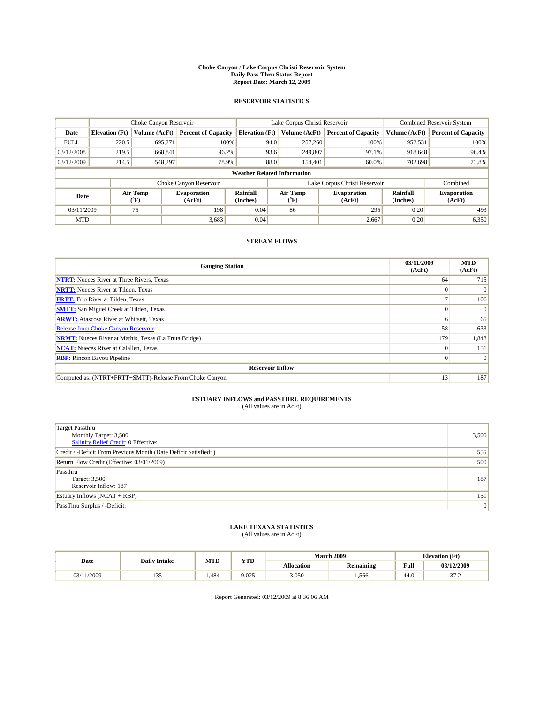#### **Choke Canyon / Lake Corpus Christi Reservoir System Daily Pass-Thru Status Report Report Date: March 12, 2009**

### **RESERVOIR STATISTICS**

|                                    | Choke Canyon Reservoir |                  |                              |                             | Lake Corpus Christi Reservoir | <b>Combined Reservoir System</b> |                      |                              |
|------------------------------------|------------------------|------------------|------------------------------|-----------------------------|-------------------------------|----------------------------------|----------------------|------------------------------|
| Date                               | <b>Elevation</b> (Ft)  | Volume (AcFt)    | <b>Percent of Capacity</b>   | <b>Elevation</b> (Ft)       | Volume (AcFt)                 | <b>Percent of Capacity</b>       | Volume (AcFt)        | <b>Percent of Capacity</b>   |
| <b>FULL</b>                        | 220.5                  | 695,271          | 100%                         | 94.0                        | 257,260                       | 100%                             | 952,531              | 100%                         |
| 03/12/2008                         | 219.5                  | 668,841          | 96.2%                        | 93.6                        | 249,807                       | 97.1%                            | 918,648              | 96.4%                        |
| 03/12/2009                         | 214.5                  | 548,297          | 78.9%                        | 88.0                        | 154,401                       | 60.0%                            | 702,698              | 73.8%                        |
| <b>Weather Related Information</b> |                        |                  |                              |                             |                               |                                  |                      |                              |
|                                    |                        |                  | Choke Canyon Reservoir       |                             | Lake Corpus Christi Reservoir |                                  | Combined             |                              |
| Date                               |                        | Air Temp<br>(°F) | <b>Evaporation</b><br>(AcFt) | <b>Rainfall</b><br>(Inches) | Air Temp<br>(°F)              | <b>Evaporation</b><br>(AcFt)     | Rainfall<br>(Inches) | <b>Evaporation</b><br>(AcFt) |
| 03/11/2009                         |                        | 75               | 198                          | 0.04                        | 86                            | 295                              | 0.20                 | 493                          |
| <b>MTD</b>                         |                        |                  | 3,683                        | 0.04                        |                               | 2,667                            | 0.20                 | 6,350                        |

## **STREAM FLOWS**

| <b>Gauging Station</b>                                       | 03/11/2009<br>(AcFt) | <b>MTD</b><br>(AcFt) |  |  |  |  |  |
|--------------------------------------------------------------|----------------------|----------------------|--|--|--|--|--|
| <b>NTRT:</b> Nueces River at Three Rivers, Texas             | 64                   | 715                  |  |  |  |  |  |
| <b>NRTT:</b> Nueces River at Tilden, Texas                   |                      | $\Omega$             |  |  |  |  |  |
| <b>FRTT:</b> Frio River at Tilden, Texas                     |                      | 106                  |  |  |  |  |  |
| <b>SMTT:</b> San Miguel Creek at Tilden, Texas               |                      | $\Omega$             |  |  |  |  |  |
| <b>ARWT:</b> Atascosa River at Whitsett, Texas               | <sub>0</sub>         | 65                   |  |  |  |  |  |
| <b>Release from Choke Canyon Reservoir</b>                   | 58                   | 633                  |  |  |  |  |  |
| <b>NRMT:</b> Nueces River at Mathis, Texas (La Fruta Bridge) | 179                  | 1,848                |  |  |  |  |  |
| <b>NCAT:</b> Nueces River at Calallen, Texas                 | $\Omega$             | 151                  |  |  |  |  |  |
| <b>RBP:</b> Rincon Bayou Pipeline                            | $\overline{0}$       | $\Omega$             |  |  |  |  |  |
| <b>Reservoir Inflow</b>                                      |                      |                      |  |  |  |  |  |
| Computed as: (NTRT+FRTT+SMTT)-Release From Choke Canyon      | 13                   | 187                  |  |  |  |  |  |

# **ESTUARY INFLOWS and PASSTHRU REQUIREMENTS**<br>(All values are in AcFt)

| <b>Target Passthru</b><br>Monthly Target: 3,500<br>Salinity Relief Credit: 0 Effective: | 3,500 |
|-----------------------------------------------------------------------------------------|-------|
| Credit / -Deficit From Previous Month (Date Deficit Satisfied: )                        | 555   |
| Return Flow Credit (Effective: 03/01/2009)                                              | 500   |
| Passthru<br>Target: 3,500<br>Reservoir Inflow: 187                                      | 187   |
| Estuary Inflows (NCAT + RBP)                                                            | 151   |
| PassThru Surplus / -Deficit:                                                            | 0     |

## **LAKE TEXANA STATISTICS** (All values are in AcFt)

|            | <b>Daily Intake</b> | MTD  | <b>YTD</b> |                   | <b>March 2009</b> | <b>Elevation</b> (Ft)                   |                                             |
|------------|---------------------|------|------------|-------------------|-------------------|-----------------------------------------|---------------------------------------------|
| Date       |                     |      |            | <b>Allocation</b> | <b>Remaining</b>  | Full<br>the contract of the contract of | 03/12/2009                                  |
| 03/11/2009 |                     | .484 | 9.025      | 3,050             | 1,566             | 44.U                                    | $\sim$<br>$\overline{\phantom{a}}$<br>ے ، ر |

Report Generated: 03/12/2009 at 8:36:06 AM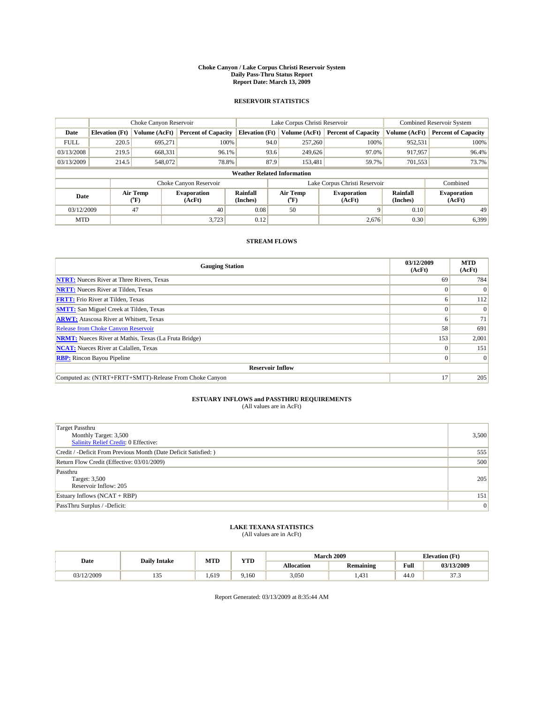#### **Choke Canyon / Lake Corpus Christi Reservoir System Daily Pass-Thru Status Report Report Date: March 13, 2009**

### **RESERVOIR STATISTICS**

|                                    | Choke Canyon Reservoir |                  |                              |                             | Lake Corpus Christi Reservoir | <b>Combined Reservoir System</b> |                      |                              |
|------------------------------------|------------------------|------------------|------------------------------|-----------------------------|-------------------------------|----------------------------------|----------------------|------------------------------|
| Date                               | <b>Elevation</b> (Ft)  | Volume (AcFt)    | <b>Percent of Capacity</b>   | <b>Elevation</b> (Ft)       | Volume (AcFt)                 | <b>Percent of Capacity</b>       | Volume (AcFt)        | <b>Percent of Capacity</b>   |
| <b>FULL</b>                        | 220.5                  | 695,271          | 100%                         | 94.0                        | 257,260                       | 100%                             | 952,531              | 100%                         |
| 03/13/2008                         | 219.5                  | 668,331          | 96.1%                        | 93.6                        | 249,626                       | 97.0%                            | 917,957              | 96.4%                        |
| 03/13/2009                         | 214.5                  | 548,072          | 78.8%                        | 87.9                        | 153,481                       | 59.7%                            | 701,553              | 73.7%                        |
| <b>Weather Related Information</b> |                        |                  |                              |                             |                               |                                  |                      |                              |
|                                    |                        |                  | Choke Canyon Reservoir       |                             |                               | Lake Corpus Christi Reservoir    |                      | Combined                     |
| Date                               |                        | Air Temp<br>(°F) | <b>Evaporation</b><br>(AcFt) | <b>Rainfall</b><br>(Inches) | Air Temp<br>(°F)              | <b>Evaporation</b><br>(AcFt)     | Rainfall<br>(Inches) | <b>Evaporation</b><br>(AcFt) |
| 03/12/2009                         |                        | 47               | 40                           | 0.08                        | 50                            | 9                                | 0.10                 | 49                           |
| <b>MTD</b>                         |                        |                  | 3,723                        | 0.12                        |                               | 2.676                            | 0.30                 | 6,399                        |

## **STREAM FLOWS**

| <b>Gauging Station</b>                                       | 03/12/2009<br>(AcFt) | <b>MTD</b><br>(AcFt) |  |  |  |  |  |
|--------------------------------------------------------------|----------------------|----------------------|--|--|--|--|--|
| <b>NTRT:</b> Nueces River at Three Rivers, Texas             | 69                   | 784                  |  |  |  |  |  |
| <b>NRTT:</b> Nueces River at Tilden, Texas                   | $\Omega$             | $\Omega$             |  |  |  |  |  |
| <b>FRTT:</b> Frio River at Tilden, Texas                     | 6                    | 112                  |  |  |  |  |  |
| <b>SMTT:</b> San Miguel Creek at Tilden, Texas               |                      | $\Omega$             |  |  |  |  |  |
| <b>ARWT:</b> Atascosa River at Whitsett, Texas               | <sub>0</sub>         | 71                   |  |  |  |  |  |
| <b>Release from Choke Canyon Reservoir</b>                   | 58                   | 691                  |  |  |  |  |  |
| <b>NRMT:</b> Nueces River at Mathis, Texas (La Fruta Bridge) | 153                  | 2,001                |  |  |  |  |  |
| <b>NCAT:</b> Nueces River at Calallen, Texas                 | $\Omega$             | 151                  |  |  |  |  |  |
| <b>RBP:</b> Rincon Bayou Pipeline                            | $\overline{0}$       | $\Omega$             |  |  |  |  |  |
| <b>Reservoir Inflow</b>                                      |                      |                      |  |  |  |  |  |
| Computed as: (NTRT+FRTT+SMTT)-Release From Choke Canyon      | 17                   | 205                  |  |  |  |  |  |

# **ESTUARY INFLOWS and PASSTHRU REQUIREMENTS**<br>(All values are in AcFt)

| <b>Target Passthru</b><br>Monthly Target: 3,500<br><b>Salinity Relief Credit: 0 Effective:</b> | 3,500 |
|------------------------------------------------------------------------------------------------|-------|
| Credit / -Deficit From Previous Month (Date Deficit Satisfied: )                               | 555   |
| Return Flow Credit (Effective: 03/01/2009)                                                     | 500   |
| Passthru<br>Target: 3,500<br>Reservoir Inflow: 205                                             | 205   |
| Estuary Inflows $(NCAT + RBP)$                                                                 | 151   |
| PassThru Surplus / -Deficit:                                                                   | 0     |

## **LAKE TEXANA STATISTICS** (All values are in AcFt)

|            | <b>Daily Intake</b> | MTD   | VTD   |                   | <b>March 2009</b> | <b>Elevation</b> (Ft)                   |                  |
|------------|---------------------|-------|-------|-------------------|-------------------|-----------------------------------------|------------------|
| Date       |                     |       | 1 I.D | <b>Allocation</b> | <b>Remaining</b>  | Full<br>the contract of the contract of | 03/13/2009       |
| 03/12/2009 | $\sim$<br>.         | . 619 | 9.160 | 3,050             | 1,431             | 44.U                                    | $\sim$<br>ر. ، ر |

Report Generated: 03/13/2009 at 8:35:44 AM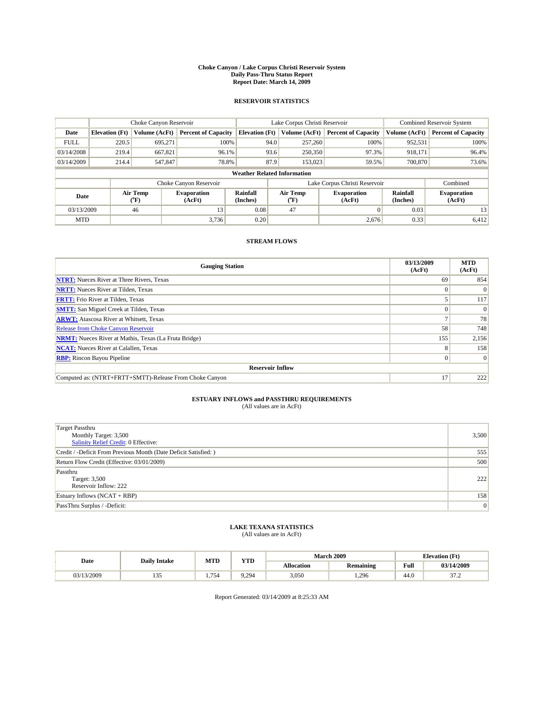#### **Choke Canyon / Lake Corpus Christi Reservoir System Daily Pass-Thru Status Report Report Date: March 14, 2009**

### **RESERVOIR STATISTICS**

|                                    | Choke Canyon Reservoir |                  |                              |                             | Lake Corpus Christi Reservoir | <b>Combined Reservoir System</b> |                      |                              |
|------------------------------------|------------------------|------------------|------------------------------|-----------------------------|-------------------------------|----------------------------------|----------------------|------------------------------|
| Date                               | <b>Elevation</b> (Ft)  | Volume (AcFt)    | <b>Percent of Capacity</b>   | <b>Elevation</b> (Ft)       | Volume (AcFt)                 | <b>Percent of Capacity</b>       | Volume (AcFt)        | <b>Percent of Capacity</b>   |
| <b>FULL</b>                        | 220.5                  | 695,271          | 100%                         | 94.0                        | 257,260                       | 100%                             | 952,531              | 100%                         |
| 03/14/2008                         | 219.4                  | 667,821          | 96.1%                        | 93.6                        | 250,350                       | 97.3%                            | 918,171              | 96.4%                        |
| 03/14/2009                         | 214.4                  | 547,847          | 78.8%                        | 87.9                        | 153,023                       | 59.5%                            | 700,870              | 73.6%                        |
| <b>Weather Related Information</b> |                        |                  |                              |                             |                               |                                  |                      |                              |
|                                    |                        |                  | Choke Canyon Reservoir       |                             | Lake Corpus Christi Reservoir |                                  | Combined             |                              |
| Date                               |                        | Air Temp<br>(°F) | <b>Evaporation</b><br>(AcFt) | <b>Rainfall</b><br>(Inches) | Air Temp<br>(°F)              | <b>Evaporation</b><br>(AcFt)     | Rainfall<br>(Inches) | <b>Evaporation</b><br>(AcFt) |
| 03/13/2009                         |                        | 46               | 13                           | 0.08                        | 47                            | $\Omega$                         | 0.03                 | 13                           |
| <b>MTD</b>                         |                        |                  | 3.736                        | 0.20                        |                               | 2.676                            | 0.33                 | 6,412                        |

## **STREAM FLOWS**

| <b>Gauging Station</b>                                       | 03/13/2009<br>(AcFt) | <b>MTD</b><br>(AcFt) |  |  |  |  |  |
|--------------------------------------------------------------|----------------------|----------------------|--|--|--|--|--|
| <b>NTRT:</b> Nueces River at Three Rivers, Texas             | 69                   | 854                  |  |  |  |  |  |
| <b>NRTT:</b> Nueces River at Tilden, Texas                   | $\Omega$             | $\Omega$             |  |  |  |  |  |
| <b>FRTT:</b> Frio River at Tilden, Texas                     |                      | 117                  |  |  |  |  |  |
| <b>SMTT:</b> San Miguel Creek at Tilden, Texas               |                      | $\Omega$             |  |  |  |  |  |
| <b>ARWT:</b> Atascosa River at Whitsett, Texas               |                      | 78                   |  |  |  |  |  |
| <b>Release from Choke Canyon Reservoir</b>                   | 58                   | 748                  |  |  |  |  |  |
| <b>NRMT:</b> Nueces River at Mathis, Texas (La Fruta Bridge) | 155                  | 2,156                |  |  |  |  |  |
| <b>NCAT:</b> Nueces River at Calallen, Texas                 | 8                    | 158                  |  |  |  |  |  |
| <b>RBP:</b> Rincon Bayou Pipeline                            | $\overline{0}$       | $\Omega$             |  |  |  |  |  |
| <b>Reservoir Inflow</b>                                      |                      |                      |  |  |  |  |  |
| Computed as: (NTRT+FRTT+SMTT)-Release From Choke Canyon      | 17                   | 222                  |  |  |  |  |  |

# **ESTUARY INFLOWS and PASSTHRU REQUIREMENTS**<br>(All values are in AcFt)

| <b>Target Passthru</b><br>Monthly Target: 3,500<br><b>Salinity Relief Credit: 0 Effective:</b> | 3,500 |
|------------------------------------------------------------------------------------------------|-------|
| Credit / -Deficit From Previous Month (Date Deficit Satisfied: )                               | 555   |
| Return Flow Credit (Effective: 03/01/2009)                                                     | 500   |
| Passthru<br>Target: 3,500<br>Reservoir Inflow: 222                                             | 222   |
| Estuary Inflows $(NCAT + RBP)$                                                                 | 158   |
| PassThru Surplus / -Deficit:                                                                   | 0     |

## **LAKE TEXANA STATISTICS** (All values are in AcFt)

|            | <b>Daily Intake</b> | MTD | <b>TIME</b> | <b>March 2009</b> |                  |                                         | <b>Elevation</b> (Ft) |  |  |
|------------|---------------------|-----|-------------|-------------------|------------------|-----------------------------------------|-----------------------|--|--|
| Date       |                     |     | 1 I.D       | <b>Allocation</b> | <b>Remaining</b> | Full<br>the contract of the contract of | 03/14/2009            |  |  |
| 03/13/2009 | $\sim$<br>.         | 754 | 9.294       | 3.050             | 1.296            | 44.0                                    | $\sim$<br>ست ر        |  |  |

Report Generated: 03/14/2009 at 8:25:33 AM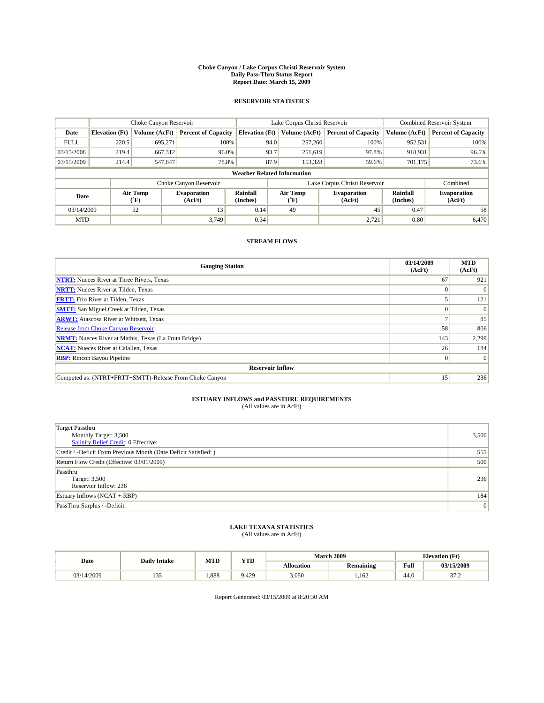#### **Choke Canyon / Lake Corpus Christi Reservoir System Daily Pass-Thru Status Report Report Date: March 15, 2009**

### **RESERVOIR STATISTICS**

|             | Choke Canyon Reservoir             |                          |                              |                       | Lake Corpus Christi Reservoir |                  |                              |                      | <b>Combined Reservoir System</b> |  |
|-------------|------------------------------------|--------------------------|------------------------------|-----------------------|-------------------------------|------------------|------------------------------|----------------------|----------------------------------|--|
| Date        | <b>Elevation</b> (Ft)              | Volume (AcFt)            | <b>Percent of Capacity</b>   | <b>Elevation</b> (Ft) |                               | Volume (AcFt)    | <b>Percent of Capacity</b>   | Volume (AcFt)        | <b>Percent of Capacity</b>       |  |
| <b>FULL</b> | 220.5                              | 695,271                  | 100%                         |                       | 94.0                          | 257,260          | 100%                         | 952,531              | 100%                             |  |
| 03/15/2008  | 219.4                              | 667,312                  | 96.0%                        |                       | 93.7                          | 251,619          | 97.8%                        | 918,931              | 96.5%                            |  |
| 03/15/2009  | 214.4                              | 547,847                  | 78.8%                        |                       | 87.9                          | 153,328          | 59.6%                        | 701.175              | 73.6%                            |  |
|             | <b>Weather Related Information</b> |                          |                              |                       |                               |                  |                              |                      |                                  |  |
|             |                                    |                          | Choke Canyon Reservoir       |                       | Lake Corpus Christi Reservoir |                  |                              |                      | Combined                         |  |
| Date        |                                    | Air Temp<br>$\rm ^{o}F)$ | <b>Evaporation</b><br>(AcFt) | Rainfall<br>(Inches)  |                               | Air Temp<br>("F) | <b>Evaporation</b><br>(AcFt) | Rainfall<br>(Inches) | <b>Evaporation</b><br>(AcFt)     |  |
| 03/14/2009  |                                    | 52                       | 13                           | 0.14                  |                               | 49               | 45                           | 0.47                 | 58                               |  |
| <b>MTD</b>  |                                    |                          | 3.749                        | 0.34                  |                               |                  | 2,721                        | 0.80                 | 6,470                            |  |

## **STREAM FLOWS**

| <b>Gauging Station</b>                                       | 03/14/2009<br>(AcFt) | <b>MTD</b><br>(AcFt) |  |  |  |  |  |
|--------------------------------------------------------------|----------------------|----------------------|--|--|--|--|--|
| <b>NTRT:</b> Nueces River at Three Rivers, Texas             | 67                   | 921                  |  |  |  |  |  |
| <b>NRTT:</b> Nueces River at Tilden, Texas                   |                      |                      |  |  |  |  |  |
| <b>FRTT:</b> Frio River at Tilden, Texas                     |                      | 121                  |  |  |  |  |  |
| <b>SMTT:</b> San Miguel Creek at Tilden, Texas               |                      | $\Omega$             |  |  |  |  |  |
| <b>ARWT:</b> Atascosa River at Whitsett, Texas               |                      | 85                   |  |  |  |  |  |
| <b>Release from Choke Canyon Reservoir</b>                   | 58                   | 806                  |  |  |  |  |  |
| <b>NRMT:</b> Nueces River at Mathis, Texas (La Fruta Bridge) | 143                  | 2,299                |  |  |  |  |  |
| <b>NCAT:</b> Nueces River at Calallen, Texas                 | 26                   | 184                  |  |  |  |  |  |
| <b>RBP:</b> Rincon Bayou Pipeline                            | $\overline{0}$       | $\Omega$             |  |  |  |  |  |
| <b>Reservoir Inflow</b>                                      |                      |                      |  |  |  |  |  |
| Computed as: (NTRT+FRTT+SMTT)-Release From Choke Canyon      | 15 <sup>1</sup>      | 236                  |  |  |  |  |  |

# **ESTUARY INFLOWS and PASSTHRU REQUIREMENTS**<br>(All values are in AcFt)

| <b>Target Passthru</b><br>Monthly Target: 3,500<br><b>Salinity Relief Credit: 0 Effective:</b> | 3,500 |
|------------------------------------------------------------------------------------------------|-------|
| Credit / -Deficit From Previous Month (Date Deficit Satisfied: )                               | 555   |
| Return Flow Credit (Effective: 03/01/2009)                                                     | 500   |
| Passthru<br>Target: 3,500<br>Reservoir Inflow: 236                                             | 236   |
| Estuary Inflows (NCAT + RBP)                                                                   | 184   |
| PassThru Surplus / -Deficit:                                                                   | 0     |

## **LAKE TEXANA STATISTICS** (All values are in AcFt)

| Date       | <b>Daily Intake</b> | <b>MTD</b> | <b>YTD</b> |                   | <b>March 2009</b> | <b>Elevation</b> (Ft) |                |  |
|------------|---------------------|------------|------------|-------------------|-------------------|-----------------------|----------------|--|
|            |                     |            |            | <b>Allocation</b> | <b>Remaining</b>  | Full                  | 03/15/2009     |  |
| 03/14/2009 | ن د ک               | .888       | 9.429      | 3,050             | .162              | 44.0                  | $\sim$<br>ست ر |  |

Report Generated: 03/15/2009 at 8:20:30 AM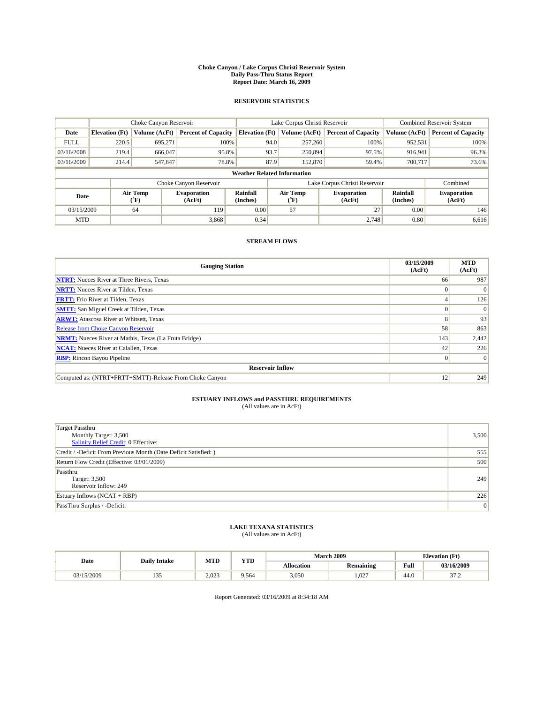#### **Choke Canyon / Lake Corpus Christi Reservoir System Daily Pass-Thru Status Report Report Date: March 16, 2009**

### **RESERVOIR STATISTICS**

|                                    | Choke Canyon Reservoir |                             |                              |                       | Lake Corpus Christi Reservoir |                          |                              |                      | <b>Combined Reservoir System</b> |  |
|------------------------------------|------------------------|-----------------------------|------------------------------|-----------------------|-------------------------------|--------------------------|------------------------------|----------------------|----------------------------------|--|
| Date                               | <b>Elevation</b> (Ft)  | Volume (AcFt)               | <b>Percent of Capacity</b>   | <b>Elevation</b> (Ft) |                               | Volume (AcFt)            | <b>Percent of Capacity</b>   | Volume (AcFt)        | <b>Percent of Capacity</b>       |  |
| <b>FULL</b>                        | 220.5                  | 695,271                     | 100%                         |                       | 94.0                          | 257,260                  | 100%                         | 952,531              | 100%                             |  |
| 03/16/2008                         | 219.4                  | 666,047                     | 95.8%                        |                       | 93.7                          | 250,894                  | 97.5%                        | 916,941              | 96.3%                            |  |
| 03/16/2009                         | 214.4                  | 547,847                     | 78.8%                        |                       | 87.9                          | 152,870                  | 59.4%                        | 700,717              | 73.6%                            |  |
| <b>Weather Related Information</b> |                        |                             |                              |                       |                               |                          |                              |                      |                                  |  |
|                                    |                        |                             | Choke Canyon Reservoir       |                       | Lake Corpus Christi Reservoir |                          |                              |                      | Combined                         |  |
| Date                               |                        | Air Temp<br>${}^{\circ}$ F) | <b>Evaporation</b><br>(AcFt) | Rainfall<br>(Inches)  |                               | Air Temp<br>$\rm ^{o}F)$ | <b>Evaporation</b><br>(AcFt) | Rainfall<br>(Inches) | <b>Evaporation</b><br>(AcFt)     |  |
| 03/15/2009                         |                        | 64                          | 119                          | 0.00                  |                               | 57                       | 27                           | 0.00                 | 146                              |  |
| <b>MTD</b>                         |                        |                             | 3,868                        | 0.34                  |                               |                          | 2,748                        | 0.80                 | 6,616                            |  |

## **STREAM FLOWS**

| <b>Gauging Station</b>                                       | 03/15/2009<br>(AcFt) | <b>MTD</b><br>(AcFt) |  |  |  |  |
|--------------------------------------------------------------|----------------------|----------------------|--|--|--|--|
| <b>NTRT:</b> Nueces River at Three Rivers, Texas             | 66                   | 987                  |  |  |  |  |
| <b>NRTT:</b> Nueces River at Tilden, Texas                   | $\Omega$             | $\Omega$             |  |  |  |  |
| <b>FRTT:</b> Frio River at Tilden, Texas                     |                      | 126                  |  |  |  |  |
| <b>SMTT:</b> San Miguel Creek at Tilden, Texas               |                      | $\Omega$             |  |  |  |  |
| <b>ARWT:</b> Atascosa River at Whitsett, Texas               | 8                    | 93                   |  |  |  |  |
| <b>Release from Choke Canyon Reservoir</b>                   | 58                   | 863                  |  |  |  |  |
| <b>NRMT:</b> Nueces River at Mathis, Texas (La Fruta Bridge) | 143                  | 2,442                |  |  |  |  |
| <b>NCAT:</b> Nueces River at Calallen, Texas                 | 42                   | 226                  |  |  |  |  |
| <b>RBP:</b> Rincon Bayou Pipeline                            | $\overline{0}$       | $\Omega$             |  |  |  |  |
| <b>Reservoir Inflow</b>                                      |                      |                      |  |  |  |  |
| Computed as: (NTRT+FRTT+SMTT)-Release From Choke Canyon      | 12                   | 249                  |  |  |  |  |

# **ESTUARY INFLOWS and PASSTHRU REQUIREMENTS**<br>(All values are in AcFt)

| <b>Target Passthru</b><br>Monthly Target: 3,500<br><b>Salinity Relief Credit: 0 Effective:</b> | 3,500 |
|------------------------------------------------------------------------------------------------|-------|
| Credit / -Deficit From Previous Month (Date Deficit Satisfied: )                               | 555   |
| Return Flow Credit (Effective: 03/01/2009)                                                     | 500   |
| Passthru<br>Target: 3,500<br>Reservoir Inflow: 249                                             | 249   |
| Estuary Inflows (NCAT + RBP)                                                                   | 226   |
| PassThru Surplus / -Deficit:                                                                   | 0     |

## **LAKE TEXANA STATISTICS** (All values are in AcFt)

| Date       | <b>Daily Intake</b> | MTD   | <b>XZOD</b> |                   | <b>March 2009</b> | <b>Elevation</b> (Ft) |                 |
|------------|---------------------|-------|-------------|-------------------|-------------------|-----------------------|-----------------|
|            |                     |       | .           | <b>Allocation</b> | <b>Remaining</b>  | Full                  | 03/16/2009      |
| 03/15/2009 | .                   | 2.023 | 9.564       | 3.050             | 1.027             | 44.U                  | $\sim$<br>ے ، ر |

Report Generated: 03/16/2009 at 8:34:18 AM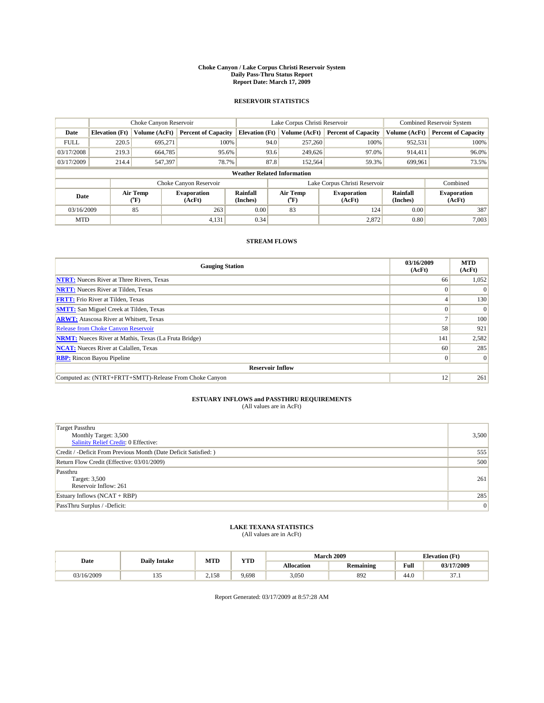#### **Choke Canyon / Lake Corpus Christi Reservoir System Daily Pass-Thru Status Report Report Date: March 17, 2009**

### **RESERVOIR STATISTICS**

|                                    | Choke Canyon Reservoir |                                           |                              |                       | Lake Corpus Christi Reservoir |                  |                              |                      | <b>Combined Reservoir System</b> |  |
|------------------------------------|------------------------|-------------------------------------------|------------------------------|-----------------------|-------------------------------|------------------|------------------------------|----------------------|----------------------------------|--|
| Date                               | <b>Elevation</b> (Ft)  | Volume (AcFt)                             | <b>Percent of Capacity</b>   | <b>Elevation</b> (Ft) |                               | Volume (AcFt)    | <b>Percent of Capacity</b>   | Volume (AcFt)        | <b>Percent of Capacity</b>       |  |
| <b>FULL</b>                        | 220.5                  | 695.271                                   | 100%                         |                       | 94.0                          | 257,260          | 100%                         | 952,531              | 100%                             |  |
| 03/17/2008                         | 219.3                  | 664,785                                   | 95.6%                        |                       | 93.6                          | 249,626          | 97.0%                        | 914,411              | 96.0%                            |  |
| 03/17/2009                         | 214.4                  | 547,397                                   | 78.7%                        |                       | 87.8                          | 152,564          | 59.3%                        | 699,961              | 73.5%                            |  |
| <b>Weather Related Information</b> |                        |                                           |                              |                       |                               |                  |                              |                      |                                  |  |
|                                    |                        |                                           | Choke Canyon Reservoir       |                       | Lake Corpus Christi Reservoir |                  |                              |                      | Combined                         |  |
| Date                               |                        | Air Temp<br>$({}^{\mathrm{o}}\mathrm{F})$ | <b>Evaporation</b><br>(AcFt) | Rainfall<br>(Inches)  |                               | Air Temp<br>(°F) | <b>Evaporation</b><br>(AcFt) | Rainfall<br>(Inches) | <b>Evaporation</b><br>(AcFt)     |  |
| 03/16/2009                         |                        | 85                                        | 263                          | 0.00                  |                               | 83               | 124                          | 0.00                 | 387                              |  |
| <b>MTD</b>                         |                        |                                           | 4,131                        | 0.34                  |                               |                  | 2,872                        | 0.80                 | 7,003                            |  |

## **STREAM FLOWS**

| <b>Gauging Station</b>                                       | 03/16/2009<br>(AcFt) | <b>MTD</b><br>(AcFt) |  |  |  |  |
|--------------------------------------------------------------|----------------------|----------------------|--|--|--|--|
| <b>NTRT:</b> Nueces River at Three Rivers, Texas             | 66                   | 1,052                |  |  |  |  |
| <b>NRTT:</b> Nueces River at Tilden, Texas                   |                      |                      |  |  |  |  |
| <b>FRTT:</b> Frio River at Tilden, Texas                     |                      | 130                  |  |  |  |  |
| <b>SMTT:</b> San Miguel Creek at Tilden, Texas               |                      | $\Omega$             |  |  |  |  |
| <b>ARWT:</b> Atascosa River at Whitsett, Texas               |                      | 100                  |  |  |  |  |
| <b>Release from Choke Canyon Reservoir</b>                   | 58                   | 921                  |  |  |  |  |
| <b>NRMT:</b> Nueces River at Mathis, Texas (La Fruta Bridge) | 141                  | 2,582                |  |  |  |  |
| <b>NCAT:</b> Nueces River at Calallen, Texas                 | 60                   | 285                  |  |  |  |  |
| <b>RBP:</b> Rincon Bayou Pipeline                            | $\overline{0}$       | $\Omega$             |  |  |  |  |
| <b>Reservoir Inflow</b>                                      |                      |                      |  |  |  |  |
| Computed as: (NTRT+FRTT+SMTT)-Release From Choke Canyon      | 12                   | 261                  |  |  |  |  |

# **ESTUARY INFLOWS and PASSTHRU REQUIREMENTS**<br>(All values are in AcFt)

| <b>Target Passthru</b><br>Monthly Target: 3,500<br>Salinity Relief Credit: 0 Effective: | 3,500 |
|-----------------------------------------------------------------------------------------|-------|
| Credit / -Deficit From Previous Month (Date Deficit Satisfied: )                        | 555   |
| Return Flow Credit (Effective: 03/01/2009)                                              | 500   |
| Passthru<br>Target: 3,500<br>Reservoir Inflow: 261                                      | 261   |
| Estuary Inflows $(NCAT + RBP)$                                                          | 285   |
| PassThru Surplus / -Deficit:                                                            | 0     |

## **LAKE TEXANA STATISTICS** (All values are in AcFt)

|            | <b>Daily Intake</b> | MTD   | <b>XZOD</b><br>1 I.D | <b>March 2009</b><br><b>Elevation</b> (Ft) |                  |                                         |             |
|------------|---------------------|-------|----------------------|--------------------------------------------|------------------|-----------------------------------------|-------------|
| Date       |                     |       |                      | <b>Allocation</b>                          | <b>Remaining</b> | Full<br>the contract of the contract of | 03/17/2009  |
| 03/16/2009 | $\sim$<br>.         | 2.158 | 9.698                | 3.050                                      | 892              | 44.0                                    | $\sim$<br>. |

Report Generated: 03/17/2009 at 8:57:28 AM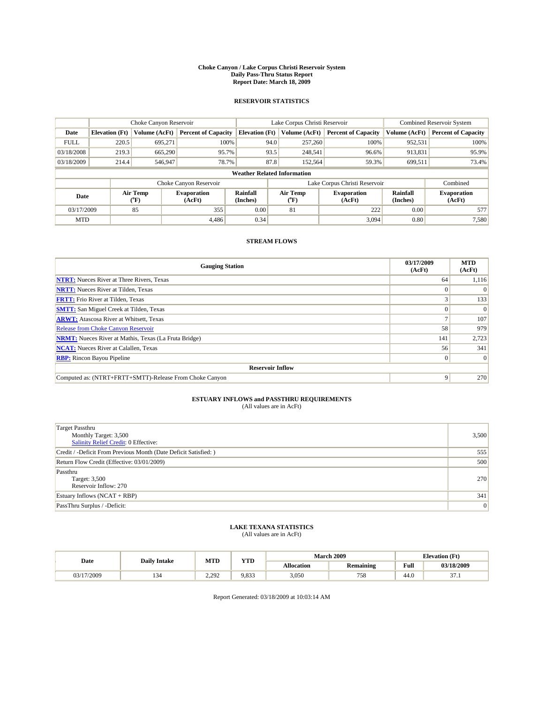#### **Choke Canyon / Lake Corpus Christi Reservoir System Daily Pass-Thru Status Report Report Date: March 18, 2009**

### **RESERVOIR STATISTICS**

|             | Choke Canyon Reservoir             |                  |                              |                       | Lake Corpus Christi Reservoir | <b>Combined Reservoir System</b> |                      |                              |  |  |
|-------------|------------------------------------|------------------|------------------------------|-----------------------|-------------------------------|----------------------------------|----------------------|------------------------------|--|--|
| Date        | <b>Elevation</b> (Ft)              | Volume (AcFt)    | <b>Percent of Capacity</b>   | <b>Elevation</b> (Ft) | Volume (AcFt)                 | <b>Percent of Capacity</b>       | Volume (AcFt)        | <b>Percent of Capacity</b>   |  |  |
| <b>FULL</b> | 220.5                              | 695,271          | 100%                         | 94.0                  | 257,260                       | 100%                             | 952,531              | 100%                         |  |  |
| 03/18/2008  | 219.3                              | 665,290          | 95.7%                        | 93.5                  | 248,541                       | 96.6%                            | 913,831              | 95.9%                        |  |  |
| 03/18/2009  | 214.4                              | 546,947          | 78.7%                        | 87.8                  | 152,564                       | 59.3%                            | 699,511              | 73.4%                        |  |  |
|             | <b>Weather Related Information</b> |                  |                              |                       |                               |                                  |                      |                              |  |  |
|             |                                    |                  | Choke Canyon Reservoir       |                       | Lake Corpus Christi Reservoir |                                  | Combined             |                              |  |  |
| Date        |                                    | Air Temp<br>(°F) | <b>Evaporation</b><br>(AcFt) | Rainfall<br>(Inches)  | Air Temp<br>("F)              | <b>Evaporation</b><br>(AcFt)     | Rainfall<br>(Inches) | <b>Evaporation</b><br>(AcFt) |  |  |
| 03/17/2009  |                                    | 85               | 355                          | 0.00                  | 81                            | 222                              | 0.00                 | 577                          |  |  |
| <b>MTD</b>  |                                    |                  | 4.486                        | 0.34                  |                               | 3.094                            | 0.80                 | 7,580                        |  |  |

## **STREAM FLOWS**

| <b>Gauging Station</b>                                       | 03/17/2009<br>(AcFt) | <b>MTD</b><br>(AcFt) |  |  |  |  |
|--------------------------------------------------------------|----------------------|----------------------|--|--|--|--|
| <b>NTRT:</b> Nueces River at Three Rivers, Texas             | 64                   | 1,116                |  |  |  |  |
| <b>NRTT:</b> Nueces River at Tilden, Texas                   |                      | $\Omega$             |  |  |  |  |
| <b>FRTT:</b> Frio River at Tilden, Texas                     |                      | 133                  |  |  |  |  |
| <b>SMTT:</b> San Miguel Creek at Tilden, Texas               |                      | $\Omega$             |  |  |  |  |
| <b>ARWT:</b> Atascosa River at Whitsett, Texas               |                      | 107                  |  |  |  |  |
| <b>Release from Choke Canyon Reservoir</b>                   | 58                   | 979                  |  |  |  |  |
| <b>NRMT:</b> Nueces River at Mathis, Texas (La Fruta Bridge) | 141                  | 2,723                |  |  |  |  |
| <b>NCAT:</b> Nueces River at Calallen, Texas                 | 56                   | 341                  |  |  |  |  |
| <b>RBP:</b> Rincon Bayou Pipeline                            | $\Omega$             | $\Omega$             |  |  |  |  |
| <b>Reservoir Inflow</b>                                      |                      |                      |  |  |  |  |
| Computed as: (NTRT+FRTT+SMTT)-Release From Choke Canyon      | 9                    | 270                  |  |  |  |  |

# **ESTUARY INFLOWS and PASSTHRU REQUIREMENTS**<br>(All values are in AcFt)

| <b>Target Passthru</b><br>Monthly Target: 3,500<br><b>Salinity Relief Credit: 0 Effective:</b> | 3,500 |
|------------------------------------------------------------------------------------------------|-------|
| Credit / -Deficit From Previous Month (Date Deficit Satisfied: )                               | 555   |
| Return Flow Credit (Effective: 03/01/2009)                                                     | 500   |
| Passthru<br>Target: 3,500<br>Reservoir Inflow: 270                                             | 270   |
| Estuary Inflows $(NCAT + RBP)$                                                                 | 341   |
| PassThru Surplus / -Deficit:                                                                   | 0     |

## **LAKE TEXANA STATISTICS** (All values are in AcFt)

|            | <b>Daily Intake</b> | MTD            | <b>XZOD</b><br>. | <b>March 2009</b> |                  |                                         | <b>Elevation</b> (Ft) |
|------------|---------------------|----------------|------------------|-------------------|------------------|-----------------------------------------|-----------------------|
| Date       |                     |                |                  | <b>Allocation</b> | <b>Remaining</b> | Full<br>the contract of the contract of | 03/18/2009            |
| 03/17/2009 |                     | າ າດາ<br>2.2/L | 9.833            | 3.050             | 758              | 44.0                                    | $\sim$<br>.           |

Report Generated: 03/18/2009 at 10:03:14 AM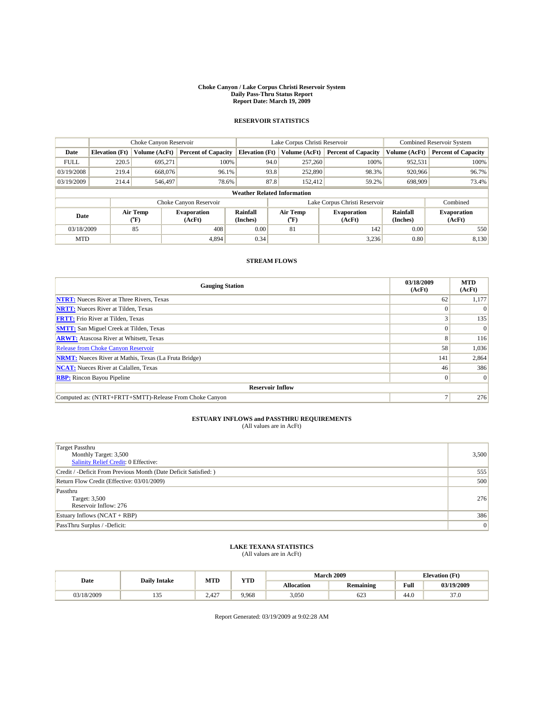#### **Choke Canyon / Lake Corpus Christi Reservoir System Daily Pass-Thru Status Report Report Date: March 19, 2009**

## **RESERVOIR STATISTICS**

|                                    | Choke Canyon Reservoir |                  |                              |                       | Lake Corpus Christi Reservoir |  |                               |                      | Combined Reservoir System    |  |
|------------------------------------|------------------------|------------------|------------------------------|-----------------------|-------------------------------|--|-------------------------------|----------------------|------------------------------|--|
| Date                               | <b>Elevation</b> (Ft)  | Volume (AcFt)    | <b>Percent of Capacity</b>   | <b>Elevation</b> (Ft) | Volume (AcFt)                 |  | <b>Percent of Capacity</b>    | Volume (AcFt)        | <b>Percent of Capacity</b>   |  |
| <b>FULL</b>                        | 220.5                  | 695.271          | 100%                         | 94.0                  | 257,260                       |  | 100%                          | 952,531              | 100%                         |  |
| 03/19/2008                         | 219.4                  | 668,076          | 96.1%                        |                       | 93.8<br>252,890               |  | 98.3%                         | 920,966              | 96.7%                        |  |
| 03/19/2009                         | 214.4                  | 546,497          | 78.6%                        |                       | 87.8<br>152,412               |  | 59.2%                         | 698,909              | 73.4%                        |  |
| <b>Weather Related Information</b> |                        |                  |                              |                       |                               |  |                               |                      |                              |  |
|                                    |                        |                  | Choke Canyon Reservoir       |                       |                               |  | Lake Corpus Christi Reservoir |                      | Combined                     |  |
| Date                               |                        | Air Temp<br>(°F) | <b>Evaporation</b><br>(AcFt) | Rainfall<br>(Inches)  | Air Temp<br>("F)              |  | <b>Evaporation</b><br>(AcFt)  | Rainfall<br>(Inches) | <b>Evaporation</b><br>(AcFt) |  |
| 03/18/2009                         |                        | 85               | 408                          | 0.00                  | 81                            |  | 142                           | 0.00                 | 550                          |  |
| <b>MTD</b>                         |                        |                  | 4,894                        | 0.34                  |                               |  | 3,236                         | 0.80                 | 8,130                        |  |

## **STREAM FLOWS**

| <b>Gauging Station</b>                                       | 03/18/2009<br>(AcFt) | <b>MTD</b><br>(AcFt) |  |  |  |  |
|--------------------------------------------------------------|----------------------|----------------------|--|--|--|--|
| <b>NTRT:</b> Nueces River at Three Rivers, Texas             | 62                   | 1,177                |  |  |  |  |
| <b>NRTT:</b> Nueces River at Tilden, Texas                   |                      | $\Omega$             |  |  |  |  |
| <b>FRTT:</b> Frio River at Tilden, Texas                     |                      | 135                  |  |  |  |  |
| <b>SMTT:</b> San Miguel Creek at Tilden, Texas               |                      | $\vert 0 \vert$      |  |  |  |  |
| <b>ARWT:</b> Atascosa River at Whitsett, Texas               | 8                    | 116                  |  |  |  |  |
| <b>Release from Choke Canyon Reservoir</b>                   | 58                   | 1,036                |  |  |  |  |
| <b>NRMT:</b> Nueces River at Mathis, Texas (La Fruta Bridge) | 141                  | 2,864                |  |  |  |  |
| <b>NCAT:</b> Nueces River at Calallen, Texas                 | 46                   | 386                  |  |  |  |  |
| <b>RBP:</b> Rincon Bayou Pipeline                            | $\Omega$             | $\Omega$             |  |  |  |  |
| <b>Reservoir Inflow</b>                                      |                      |                      |  |  |  |  |
| Computed as: (NTRT+FRTT+SMTT)-Release From Choke Canyon      |                      | 276                  |  |  |  |  |

## **ESTUARY INFLOWS and PASSTHRU REQUIREMENTS**<br>(All values are in AcFt)

| <b>Target Passthru</b><br>Monthly Target: 3,500<br>Salinity Relief Credit: 0 Effective: | 3,500 |
|-----------------------------------------------------------------------------------------|-------|
| Credit / -Deficit From Previous Month (Date Deficit Satisfied: )                        | 555   |
| Return Flow Credit (Effective: 03/01/2009)                                              | 500   |
| Passthru<br>Target: 3,500<br>Reservoir Inflow: 276                                      | 276   |
| Estuary Inflows $(NCAT + RBP)$                                                          | 386   |
| PassThru Surplus / -Deficit:                                                            | 0     |

# **LAKE TEXANA STATISTICS** (All values are in AcFt)

| Date      | <b>Daily Intake</b> | MTD   | <b>YTD</b> |                   | <b>March 2009</b> | <b>Elevation</b> (Ft) |            |
|-----------|---------------------|-------|------------|-------------------|-------------------|-----------------------|------------|
|           |                     |       |            | <b>Allocation</b> | <b>Remaining</b>  | Full                  | 03/19/2009 |
| 3/18/2009 | $\sim$<br>ر ر       | 2,427 | 9,968      | 3,050             | 623               | 44.0                  | 37.0       |

Report Generated: 03/19/2009 at 9:02:28 AM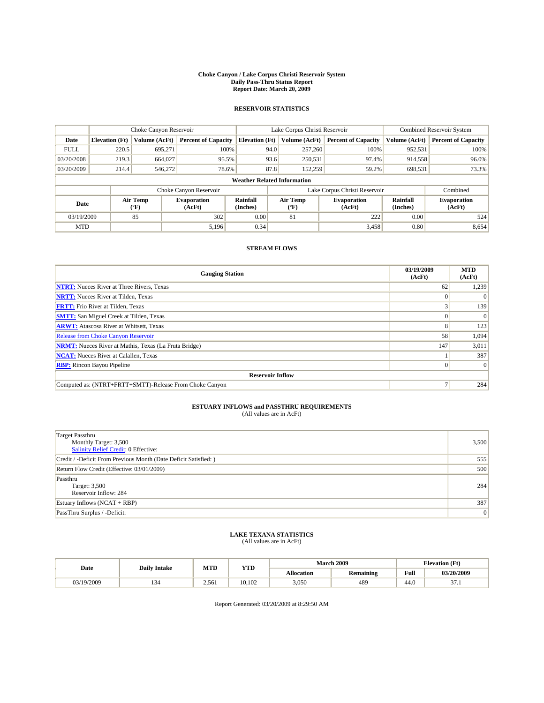#### **Choke Canyon / Lake Corpus Christi Reservoir System Daily Pass-Thru Status Report Report Date: March 20, 2009**

## **RESERVOIR STATISTICS**

|             | Choke Canyon Reservoir             |                             |                              |                       | Lake Corpus Christi Reservoir |                 |                               |                      | <b>Combined Reservoir System</b> |  |
|-------------|------------------------------------|-----------------------------|------------------------------|-----------------------|-------------------------------|-----------------|-------------------------------|----------------------|----------------------------------|--|
| Date        | <b>Elevation</b> (Ft)              | Volume (AcFt)               | <b>Percent of Capacity</b>   | <b>Elevation</b> (Ft) |                               | Volume (AcFt)   | <b>Percent of Capacity</b>    | Volume (AcFt)        | <b>Percent of Capacity</b>       |  |
| <b>FULL</b> | 220.5                              | 695.271                     | 100%                         |                       | 94.0                          | 257,260         | 100%                          | 952,531              | 100%                             |  |
| 03/20/2008  | 219.3                              | 664,027                     | 95.5%                        |                       | 93.6                          | 250,531         | 97.4%                         | 914,558              | 96.0%                            |  |
| 03/20/2009  | 214.4                              | 546,272                     | 78.6%                        |                       | 87.8                          | 152,259         | 59.2%                         | 698,531              | 73.3%                            |  |
|             | <b>Weather Related Information</b> |                             |                              |                       |                               |                 |                               |                      |                                  |  |
|             |                                    |                             | Choke Canyon Reservoir       |                       |                               |                 | Lake Corpus Christi Reservoir |                      | Combined                         |  |
| Date        |                                    | Air Temp<br>${}^{\circ}$ F) | <b>Evaporation</b><br>(AcFt) | Rainfall<br>(Inches)  |                               | Air Temp<br>″F) | <b>Evaporation</b><br>(AcFt)  | Rainfall<br>(Inches) | <b>Evaporation</b><br>(AcFt)     |  |
| 03/19/2009  |                                    | 85                          | 302                          | 0.00                  |                               | 81              | 222                           | 0.00                 | 524                              |  |
| <b>MTD</b>  |                                    |                             | 5.196                        | 0.34                  |                               |                 | 3,458                         | 0.80                 | 8,654                            |  |

### **STREAM FLOWS**

| <b>Gauging Station</b>                                       | 03/19/2009<br>(AcFt) | <b>MTD</b><br>(AcFt) |
|--------------------------------------------------------------|----------------------|----------------------|
| <b>NTRT:</b> Nueces River at Three Rivers, Texas             | 62                   | 1,239                |
| <b>NRTT:</b> Nueces River at Tilden, Texas                   |                      | $\Omega$             |
| <b>FRTT:</b> Frio River at Tilden, Texas                     |                      | 139                  |
| <b>SMTT:</b> San Miguel Creek at Tilden, Texas               |                      | $\Omega$             |
| <b>ARWT:</b> Atascosa River at Whitsett, Texas               | 8                    | 123                  |
| <b>Release from Choke Canyon Reservoir</b>                   | 58                   | 1,094                |
| <b>NRMT:</b> Nueces River at Mathis, Texas (La Fruta Bridge) | 147                  | 3,011                |
| <b>NCAT:</b> Nueces River at Calallen, Texas                 |                      | 387                  |
| <b>RBP:</b> Rincon Bayou Pipeline                            | 0                    | $\vert 0 \vert$      |
| <b>Reservoir Inflow</b>                                      |                      |                      |
| Computed as: (NTRT+FRTT+SMTT)-Release From Choke Canyon      |                      | 284                  |

## **ESTUARY INFLOWS and PASSTHRU REQUIREMENTS**<br>(All values are in AcFt)

| Target Passthru<br>Monthly Target: 3,500<br>Salinity Relief Credit: 0 Effective: | 3,500           |
|----------------------------------------------------------------------------------|-----------------|
| Credit / -Deficit From Previous Month (Date Deficit Satisfied: )                 | 555             |
| Return Flow Credit (Effective: 03/01/2009)                                       | 500             |
| Passthru<br>Target: 3,500<br>Reservoir Inflow: 284                               | 284             |
| Estuary Inflows $(NCAT + RBP)$                                                   | 387             |
| PassThru Surplus / -Deficit:                                                     | $\vert 0 \vert$ |

### **LAKE TEXANA STATISTICS** (All values are in AcFt)

| Date       | <b>Daily Intake</b> | <b>MTD</b> | <b>YTD</b> |                   | <b>March 2009</b> | <b>Elevation</b> (Ft) |             |
|------------|---------------------|------------|------------|-------------------|-------------------|-----------------------|-------------|
|            |                     |            |            | <b>Allocation</b> | <b>Remaining</b>  | Full                  | 03/20/2009  |
| 03/19/2009 | سى                  | 2.561      | 10.102     | 3,050             | 489               | 44.0                  | $\sim$<br>. |

Report Generated: 03/20/2009 at 8:29:50 AM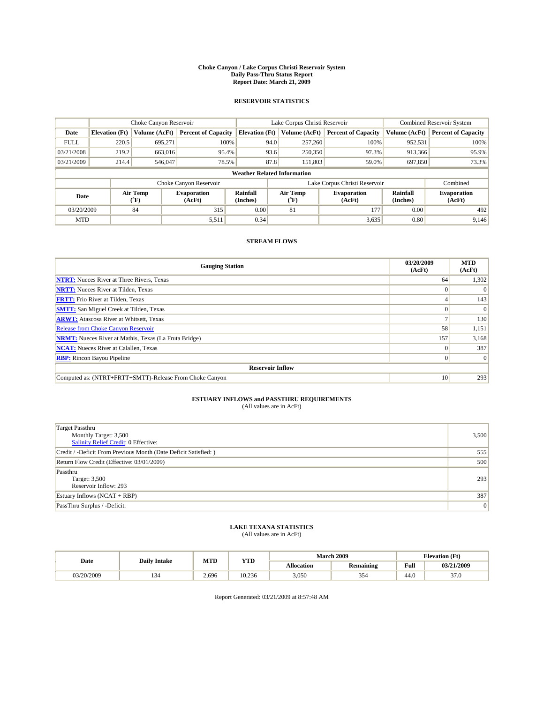#### **Choke Canyon / Lake Corpus Christi Reservoir System Daily Pass-Thru Status Report Report Date: March 21, 2009**

### **RESERVOIR STATISTICS**

|             | Choke Canyon Reservoir             |                  |                              |                       | Lake Corpus Christi Reservoir | <b>Combined Reservoir System</b> |                      |                              |  |  |
|-------------|------------------------------------|------------------|------------------------------|-----------------------|-------------------------------|----------------------------------|----------------------|------------------------------|--|--|
| Date        | <b>Elevation</b> (Ft)              | Volume (AcFt)    | <b>Percent of Capacity</b>   | <b>Elevation</b> (Ft) | Volume (AcFt)                 | <b>Percent of Capacity</b>       | Volume (AcFt)        | <b>Percent of Capacity</b>   |  |  |
| <b>FULL</b> | 220.5                              | 695,271          | 100%                         | 94.0                  | 257,260                       | 100%                             | 952,531              | 100%                         |  |  |
| 03/21/2008  | 219.2                              | 663,016          | 95.4%                        | 93.6                  | 250,350                       | 97.3%                            | 913,366              | 95.9%                        |  |  |
| 03/21/2009  | 214.4                              | 546,047          | 78.5%                        | 87.8                  | 151,803                       | 59.0%                            | 697,850              | 73.3%                        |  |  |
|             | <b>Weather Related Information</b> |                  |                              |                       |                               |                                  |                      |                              |  |  |
|             |                                    |                  | Choke Canyon Reservoir       |                       |                               | Lake Corpus Christi Reservoir    |                      | Combined                     |  |  |
| Date        |                                    | Air Temp<br>(°F) | <b>Evaporation</b><br>(AcFt) | Rainfall<br>(Inches)  | Air Temp<br>("F)              | <b>Evaporation</b><br>(AcFt)     | Rainfall<br>(Inches) | <b>Evaporation</b><br>(AcFt) |  |  |
| 03/20/2009  |                                    | 84               | 315                          | 0.00                  | 81                            | 177                              | 0.00                 | 492                          |  |  |
| <b>MTD</b>  |                                    |                  | 5,511                        | 0.34                  |                               | 3,635                            | 0.80                 | 9,146                        |  |  |

## **STREAM FLOWS**

| <b>Gauging Station</b>                                       | 03/20/2009<br>(AcFt) | <b>MTD</b><br>(AcFt) |  |  |  |  |
|--------------------------------------------------------------|----------------------|----------------------|--|--|--|--|
| <b>NTRT:</b> Nueces River at Three Rivers, Texas             | 64                   | 1,302                |  |  |  |  |
| <b>NRTT:</b> Nueces River at Tilden, Texas                   |                      | $\Omega$             |  |  |  |  |
| <b>FRTT:</b> Frio River at Tilden, Texas                     |                      | 143                  |  |  |  |  |
| <b>SMTT:</b> San Miguel Creek at Tilden, Texas               |                      | $\Omega$             |  |  |  |  |
| <b>ARWT:</b> Atascosa River at Whitsett, Texas               |                      | 130                  |  |  |  |  |
| <b>Release from Choke Canyon Reservoir</b>                   | 58                   | 1,151                |  |  |  |  |
| <b>NRMT:</b> Nueces River at Mathis, Texas (La Fruta Bridge) | 157                  | 3,168                |  |  |  |  |
| <b>NCAT:</b> Nueces River at Calallen, Texas                 |                      | 387                  |  |  |  |  |
| <b>RBP:</b> Rincon Bayou Pipeline                            | 0                    | $\Omega$             |  |  |  |  |
| <b>Reservoir Inflow</b>                                      |                      |                      |  |  |  |  |
| Computed as: (NTRT+FRTT+SMTT)-Release From Choke Canyon      | 10                   | 293                  |  |  |  |  |

# **ESTUARY INFLOWS and PASSTHRU REQUIREMENTS**<br>(All values are in AcFt)

| <b>Target Passthru</b><br>Monthly Target: 3,500<br><b>Salinity Relief Credit: 0 Effective:</b> | 3,500 |
|------------------------------------------------------------------------------------------------|-------|
| Credit / -Deficit From Previous Month (Date Deficit Satisfied: )                               | 555   |
| Return Flow Credit (Effective: 03/01/2009)                                                     | 500   |
| Passthru<br>Target: 3,500<br>Reservoir Inflow: 293                                             | 293   |
| Estuary Inflows $(NCAT + RBP)$                                                                 | 387   |
| PassThru Surplus / -Deficit:                                                                   | 0     |

## **LAKE TEXANA STATISTICS** (All values are in AcFt)

|            | <b>Daily Intake</b> | MTD   | <b>YTD</b> |                   | <b>March 2009</b> | <b>Elevation</b> (Ft)                       |            |
|------------|---------------------|-------|------------|-------------------|-------------------|---------------------------------------------|------------|
| Date       |                     |       |            | <b>Allocation</b> | <b>Remaining</b>  | Full<br>the contract of the contract of the | 03/21/2009 |
| 03/20/2009 | - د د               | 2,696 | 10.236     | 3,050             | 354               | 44.0                                        | 37.0       |

Report Generated: 03/21/2009 at 8:57:48 AM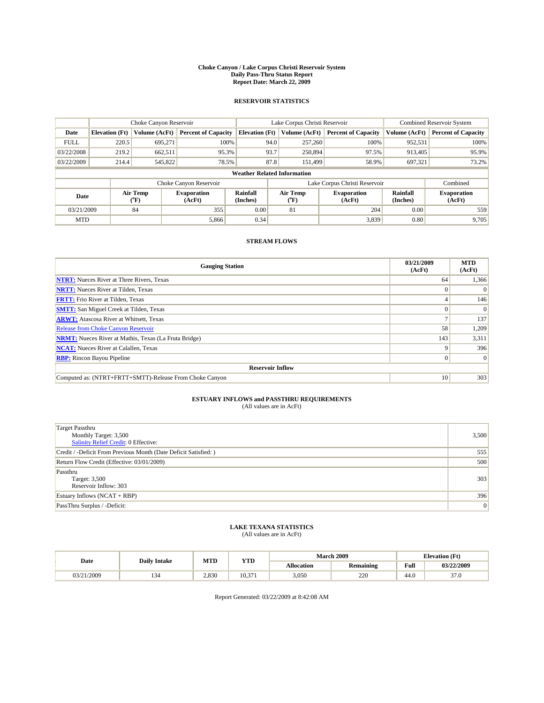#### **Choke Canyon / Lake Corpus Christi Reservoir System Daily Pass-Thru Status Report Report Date: March 22, 2009**

### **RESERVOIR STATISTICS**

|             | Choke Canyon Reservoir             |                  | Lake Corpus Christi Reservoir |                       |      |                  | <b>Combined Reservoir System</b> |                      |                              |  |
|-------------|------------------------------------|------------------|-------------------------------|-----------------------|------|------------------|----------------------------------|----------------------|------------------------------|--|
| Date        | <b>Elevation</b> (Ft)              | Volume (AcFt)    | <b>Percent of Capacity</b>    | <b>Elevation</b> (Ft) |      | Volume (AcFt)    | <b>Percent of Capacity</b>       | Volume (AcFt)        | <b>Percent of Capacity</b>   |  |
| <b>FULL</b> | 220.5                              | 695,271          | 100%                          |                       | 94.0 | 257,260          | 100%                             | 952,531              | 100%                         |  |
| 03/22/2008  | 219.2                              | 662,511          | 95.3%                         |                       | 93.7 | 250,894          | 97.5%                            | 913,405              | 95.9%                        |  |
| 03/22/2009  | 214.4                              | 545,822          | 78.5%                         |                       | 87.8 | 151.499          | 58.9%                            | 697,321              | 73.2%                        |  |
|             | <b>Weather Related Information</b> |                  |                               |                       |      |                  |                                  |                      |                              |  |
|             |                                    |                  | Choke Canyon Reservoir        |                       |      |                  | Lake Corpus Christi Reservoir    |                      | Combined                     |  |
| Date        |                                    | Air Temp<br>(°F) | <b>Evaporation</b><br>(AcFt)  | Rainfall<br>(Inches)  |      | Air Temp<br>("F) | <b>Evaporation</b><br>(AcFt)     | Rainfall<br>(Inches) | <b>Evaporation</b><br>(AcFt) |  |
| 03/21/2009  |                                    | 84               | 355                           | 0.00                  |      | 81               | 204                              | 0.00                 | 559                          |  |
| <b>MTD</b>  |                                    |                  | 5,866                         | 0.34                  |      |                  | 3,839                            | 0.80                 | 9,705                        |  |

## **STREAM FLOWS**

| <b>Gauging Station</b>                                       | 03/21/2009<br>(AcFt) | <b>MTD</b><br>(AcFt) |  |  |  |  |
|--------------------------------------------------------------|----------------------|----------------------|--|--|--|--|
| <b>NTRT:</b> Nueces River at Three Rivers, Texas             | 64                   | 1,366                |  |  |  |  |
| <b>NRTT:</b> Nueces River at Tilden, Texas                   |                      | $\Omega$             |  |  |  |  |
| <b>FRTT:</b> Frio River at Tilden, Texas                     |                      | 146                  |  |  |  |  |
| <b>SMTT:</b> San Miguel Creek at Tilden, Texas               |                      | $\Omega$             |  |  |  |  |
| <b>ARWT:</b> Atascosa River at Whitsett, Texas               |                      | 137                  |  |  |  |  |
| <b>Release from Choke Canyon Reservoir</b>                   | 58                   | 1,209                |  |  |  |  |
| <b>NRMT:</b> Nueces River at Mathis, Texas (La Fruta Bridge) | 143                  | 3,311                |  |  |  |  |
| <b>NCAT:</b> Nueces River at Calallen, Texas                 |                      | 396                  |  |  |  |  |
| <b>RBP:</b> Rincon Bayou Pipeline                            | 0                    | $\Omega$             |  |  |  |  |
| <b>Reservoir Inflow</b>                                      |                      |                      |  |  |  |  |
| Computed as: (NTRT+FRTT+SMTT)-Release From Choke Canyon      | 10                   | 303                  |  |  |  |  |

# **ESTUARY INFLOWS and PASSTHRU REQUIREMENTS**<br>(All values are in AcFt)

| <b>Target Passthru</b><br>Monthly Target: 3,500<br><b>Salinity Relief Credit: 0 Effective:</b> | 3,500 |
|------------------------------------------------------------------------------------------------|-------|
| Credit / -Deficit From Previous Month (Date Deficit Satisfied: )                               | 555   |
| Return Flow Credit (Effective: 03/01/2009)                                                     | 500   |
| Passthru<br>Target: 3,500<br>Reservoir Inflow: 303                                             | 303   |
| Estuary Inflows (NCAT + RBP)                                                                   | 396   |
| PassThru Surplus / -Deficit:                                                                   | 0     |

## **LAKE TEXANA STATISTICS** (All values are in AcFt)

|            | <b>Daily Intake</b> | MTD   | <b>YTD</b>        |                   | <b>March 2009</b> | <b>Elevation</b> (Ft)                       |            |
|------------|---------------------|-------|-------------------|-------------------|-------------------|---------------------------------------------|------------|
| Date       |                     |       |                   | <b>Allocation</b> | <b>Remaining</b>  | Full<br>the contract of the contract of the | 03/22/2009 |
| 03/21/2009 | - د د               | 2.830 | 10.3 <sub>1</sub> | 3,050             | 220               | 44.0                                        | 37.0       |

Report Generated: 03/22/2009 at 8:42:08 AM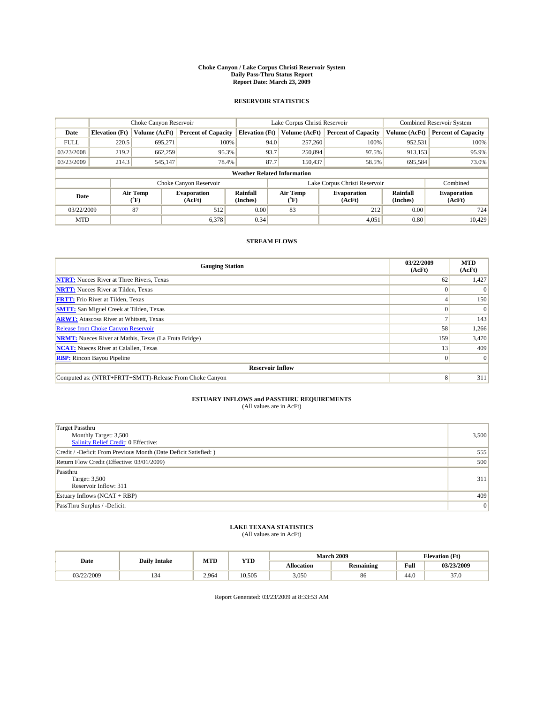#### **Choke Canyon / Lake Corpus Christi Reservoir System Daily Pass-Thru Status Report Report Date: March 23, 2009**

### **RESERVOIR STATISTICS**

|             |                                    | Choke Canyon Reservoir |                              |                       | Lake Corpus Christi Reservoir | <b>Combined Reservoir System</b> |                      |                              |  |  |
|-------------|------------------------------------|------------------------|------------------------------|-----------------------|-------------------------------|----------------------------------|----------------------|------------------------------|--|--|
| Date        | <b>Elevation</b> (Ft)              | Volume (AcFt)          | <b>Percent of Capacity</b>   | <b>Elevation</b> (Ft) | Volume (AcFt)                 | <b>Percent of Capacity</b>       | Volume (AcFt)        | <b>Percent of Capacity</b>   |  |  |
| <b>FULL</b> | 220.5                              | 695,271                | 100%                         | 94.0                  | 257,260                       | 100%                             | 952,531              | 100%                         |  |  |
| 03/23/2008  | 219.2                              | 662,259                | 95.3%                        | 93.7                  | 250,894                       | 97.5%                            | 913,153              | 95.9%                        |  |  |
| 03/23/2009  | 214.3                              | 545,147                | 78.4%                        | 87.7                  | 150,437                       | 58.5%                            | 695,584              | 73.0%                        |  |  |
|             | <b>Weather Related Information</b> |                        |                              |                       |                               |                                  |                      |                              |  |  |
|             |                                    |                        | Choke Canyon Reservoir       |                       |                               | Lake Corpus Christi Reservoir    |                      | Combined                     |  |  |
| Date        |                                    | Air Temp<br>(°F)       | <b>Evaporation</b><br>(AcFt) | Rainfall<br>(Inches)  | Air Temp<br>$\rm ^{(o}F)$     | <b>Evaporation</b><br>(AcFt)     | Rainfall<br>(Inches) | <b>Evaporation</b><br>(AcFt) |  |  |
| 03/22/2009  |                                    | 87                     | 512                          | 0.00                  | 83                            | 212                              | 0.00                 | 724                          |  |  |
| <b>MTD</b>  |                                    |                        | 6,378                        | 0.34                  |                               | 4,051                            | 0.80                 | 10.429                       |  |  |

## **STREAM FLOWS**

| <b>Gauging Station</b>                                       | 03/22/2009<br>(AcFt) | <b>MTD</b><br>(AcFt) |  |  |  |  |  |
|--------------------------------------------------------------|----------------------|----------------------|--|--|--|--|--|
| <b>NTRT:</b> Nueces River at Three Rivers, Texas             | 62                   | 1,427                |  |  |  |  |  |
| <b>NRTT:</b> Nueces River at Tilden, Texas                   |                      | $\Omega$             |  |  |  |  |  |
| <b>FRTT:</b> Frio River at Tilden, Texas                     |                      | 150                  |  |  |  |  |  |
| <b>SMTT:</b> San Miguel Creek at Tilden, Texas               |                      | $\Omega$             |  |  |  |  |  |
| <b>ARWT:</b> Atascosa River at Whitsett, Texas               |                      | 143                  |  |  |  |  |  |
| <b>Release from Choke Canyon Reservoir</b>                   | 58                   | 1,266                |  |  |  |  |  |
| <b>NRMT:</b> Nueces River at Mathis, Texas (La Fruta Bridge) | 159                  | 3,470                |  |  |  |  |  |
| <b>NCAT:</b> Nueces River at Calallen, Texas                 | 13                   | 409                  |  |  |  |  |  |
| <b>RBP:</b> Rincon Bayou Pipeline                            | 0                    | $\Omega$             |  |  |  |  |  |
| <b>Reservoir Inflow</b>                                      |                      |                      |  |  |  |  |  |
| Computed as: (NTRT+FRTT+SMTT)-Release From Choke Canyon      | 8                    | 311                  |  |  |  |  |  |

# **ESTUARY INFLOWS and PASSTHRU REQUIREMENTS**<br>(All values are in AcFt)

| <b>Target Passthru</b><br>Monthly Target: 3,500<br>Salinity Relief Credit: 0 Effective: | 3,500 |
|-----------------------------------------------------------------------------------------|-------|
| Credit / -Deficit From Previous Month (Date Deficit Satisfied: )                        | 555   |
| Return Flow Credit (Effective: 03/01/2009)                                              | 500   |
| Passthru<br>Target: 3,500<br>Reservoir Inflow: 311                                      | 311   |
| Estuary Inflows (NCAT + RBP)                                                            | 409   |
| PassThru Surplus / -Deficit:                                                            | 0     |

## **LAKE TEXANA STATISTICS** (All values are in AcFt)

|            | <b>Daily Intake</b> | MTD   | <b>YTD</b> |                   | <b>March 2009</b> | <b>Elevation</b> (Ft)                       |            |
|------------|---------------------|-------|------------|-------------------|-------------------|---------------------------------------------|------------|
| Date       |                     |       |            | <b>Allocation</b> | <b>Remaining</b>  | Full<br>the contract of the contract of the | 03/23/2009 |
| 03/22/2009 | - د د               | 2.964 | 10.505     | 3,050             | 86                | 44.0                                        | 37.0       |

Report Generated: 03/23/2009 at 8:33:53 AM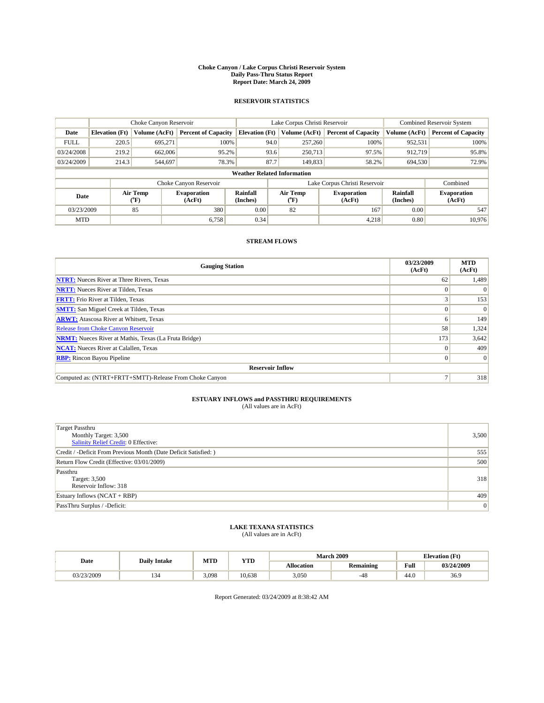#### **Choke Canyon / Lake Corpus Christi Reservoir System Daily Pass-Thru Status Report Report Date: March 24, 2009**

### **RESERVOIR STATISTICS**

|             |                                    | Choke Canyon Reservoir |                              |                       | Lake Corpus Christi Reservoir | <b>Combined Reservoir System</b> |                      |                              |  |  |
|-------------|------------------------------------|------------------------|------------------------------|-----------------------|-------------------------------|----------------------------------|----------------------|------------------------------|--|--|
| Date        | <b>Elevation</b> (Ft)              | Volume (AcFt)          | <b>Percent of Capacity</b>   | <b>Elevation</b> (Ft) | Volume (AcFt)                 | <b>Percent of Capacity</b>       | Volume (AcFt)        | <b>Percent of Capacity</b>   |  |  |
| <b>FULL</b> | 220.5                              | 695,271                | 100%                         | 94.0                  | 257,260                       | 100%                             | 952,531              | 100%                         |  |  |
| 03/24/2008  | 219.2                              | 662,006                | 95.2%                        | 93.6                  | 250,713                       | 97.5%                            | 912.719              | 95.8%                        |  |  |
| 03/24/2009  | 214.3                              | 544,697                | 78.3%                        | 87.7                  | 149,833                       | 58.2%                            | 694,530              | 72.9%                        |  |  |
|             | <b>Weather Related Information</b> |                        |                              |                       |                               |                                  |                      |                              |  |  |
|             |                                    |                        | Choke Canyon Reservoir       |                       |                               | Lake Corpus Christi Reservoir    |                      | Combined                     |  |  |
| Date        |                                    | Air Temp<br>(°F)       | <b>Evaporation</b><br>(AcFt) | Rainfall<br>(Inches)  | Air Temp<br>("F)              | <b>Evaporation</b><br>(AcFt)     | Rainfall<br>(Inches) | <b>Evaporation</b><br>(AcFt) |  |  |
| 03/23/2009  |                                    | 85                     | 380                          | 0.00                  | 82                            | 167                              | 0.00                 | 547                          |  |  |
| <b>MTD</b>  |                                    |                        | 6.758                        | 0.34                  |                               | 4,218                            | 0.80                 | 10.976                       |  |  |

## **STREAM FLOWS**

| <b>Gauging Station</b>                                       | 03/23/2009<br>(AcFt) | <b>MTD</b><br>(AcFt) |  |  |  |  |  |
|--------------------------------------------------------------|----------------------|----------------------|--|--|--|--|--|
| <b>NTRT:</b> Nueces River at Three Rivers, Texas             | 62                   | 1,489                |  |  |  |  |  |
| <b>NRTT:</b> Nueces River at Tilden, Texas                   |                      | $\Omega$             |  |  |  |  |  |
| <b>FRTT:</b> Frio River at Tilden, Texas                     |                      | 153                  |  |  |  |  |  |
| <b>SMTT:</b> San Miguel Creek at Tilden, Texas               |                      | $\Omega$             |  |  |  |  |  |
| <b>ARWT:</b> Atascosa River at Whitsett, Texas               |                      | 149                  |  |  |  |  |  |
| Release from Choke Canyon Reservoir                          | 58                   | 1,324                |  |  |  |  |  |
| <b>NRMT:</b> Nueces River at Mathis, Texas (La Fruta Bridge) | 173                  | 3,642                |  |  |  |  |  |
| <b>NCAT:</b> Nueces River at Calallen, Texas                 |                      | 409                  |  |  |  |  |  |
| <b>RBP:</b> Rincon Bayou Pipeline                            | $\Omega$             | $\Omega$             |  |  |  |  |  |
| <b>Reservoir Inflow</b>                                      |                      |                      |  |  |  |  |  |
| Computed as: (NTRT+FRTT+SMTT)-Release From Choke Canyon      |                      | 318                  |  |  |  |  |  |

# **ESTUARY INFLOWS and PASSTHRU REQUIREMENTS**<br>(All values are in AcFt)

| <b>Target Passthru</b><br>Monthly Target: 3,500<br><b>Salinity Relief Credit: 0 Effective:</b> | 3,500 |
|------------------------------------------------------------------------------------------------|-------|
| Credit / -Deficit From Previous Month (Date Deficit Satisfied: )                               | 555   |
| Return Flow Credit (Effective: 03/01/2009)                                                     | 500   |
| Passthru<br>Target: 3,500<br>Reservoir Inflow: 318                                             | 318   |
| Estuary Inflows (NCAT + RBP)                                                                   | 409   |
| PassThru Surplus / -Deficit:                                                                   | 0     |

## **LAKE TEXANA STATISTICS** (All values are in AcFt)

| Date       | <b>Daily Intake</b> | MTD   | <b>YTD</b> |                   | March 2009       | <b>Elevation</b> (Ft) |            |
|------------|---------------------|-------|------------|-------------------|------------------|-----------------------|------------|
|            |                     |       |            | <b>Allocation</b> | <b>Remaining</b> | Full                  | 03/24/2009 |
| 03/23/2009 | . . <i>. .</i>      | 3,098 | 10.638     | 3,050             | -48              | 44.0                  | 36.9       |

Report Generated: 03/24/2009 at 8:38:42 AM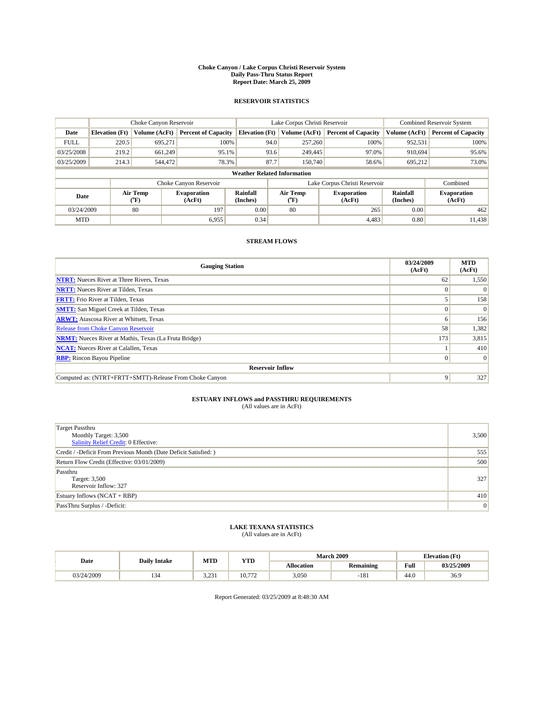#### **Choke Canyon / Lake Corpus Christi Reservoir System Daily Pass-Thru Status Report Report Date: March 25, 2009**

### **RESERVOIR STATISTICS**

|                                    | Choke Canyon Reservoir |                                           |                              |                       | Lake Corpus Christi Reservoir  | <b>Combined Reservoir System</b> |                      |                              |  |
|------------------------------------|------------------------|-------------------------------------------|------------------------------|-----------------------|--------------------------------|----------------------------------|----------------------|------------------------------|--|
| Date                               | <b>Elevation</b> (Ft)  | Volume (AcFt)                             | <b>Percent of Capacity</b>   | <b>Elevation</b> (Ft) | Volume (AcFt)                  | <b>Percent of Capacity</b>       | Volume (AcFt)        | <b>Percent of Capacity</b>   |  |
| <b>FULL</b>                        | 220.5                  | 695,271                                   | 100%                         | 94.0                  | 257,260                        | 100%                             | 952,531              | 100%                         |  |
| 03/25/2008                         | 219.2                  | 661,249                                   | 95.1%                        | 93.6                  | 249,445                        | 97.0%                            | 910.694              | 95.6%                        |  |
| 03/25/2009                         | 214.3                  | 544,472                                   | 78.3%                        | 87.7                  | 150,740                        | 58.6%                            | 695,212              | 73.0%                        |  |
| <b>Weather Related Information</b> |                        |                                           |                              |                       |                                |                                  |                      |                              |  |
|                                    |                        |                                           | Choke Canyon Reservoir       |                       |                                | Lake Corpus Christi Reservoir    |                      | Combined                     |  |
| Date                               |                        | Air Temp<br>$({}^{\mathrm{o}}\mathrm{F})$ | <b>Evaporation</b><br>(AcFt) | Rainfall<br>(Inches)  | Air Temp<br>$({}^o\mathrm{F})$ | <b>Evaporation</b><br>(AcFt)     | Rainfall<br>(Inches) | <b>Evaporation</b><br>(AcFt) |  |
| 03/24/2009                         |                        | 80                                        | 197                          | 0.00                  | 80                             | 265                              | 0.00                 | 462                          |  |
| <b>MTD</b>                         |                        |                                           | 6,955                        | 0.34                  |                                | 4,483                            | 0.80                 | 11,438                       |  |

## **STREAM FLOWS**

| <b>Gauging Station</b>                                       | 03/24/2009<br>(AcFt) | <b>MTD</b><br>(AcFt) |  |  |  |  |
|--------------------------------------------------------------|----------------------|----------------------|--|--|--|--|
| <b>NTRT:</b> Nueces River at Three Rivers, Texas             | 62                   | 1,550                |  |  |  |  |
| <b>NRTT:</b> Nueces River at Tilden, Texas                   |                      |                      |  |  |  |  |
| <b>FRTT:</b> Frio River at Tilden, Texas                     |                      | 158                  |  |  |  |  |
| <b>SMTT:</b> San Miguel Creek at Tilden, Texas               |                      | $\Omega$             |  |  |  |  |
| <b>ARWT:</b> Atascosa River at Whitsett, Texas               | 6                    | 156                  |  |  |  |  |
| <b>Release from Choke Canyon Reservoir</b>                   | 58                   | 1,382                |  |  |  |  |
| <b>NRMT:</b> Nueces River at Mathis, Texas (La Fruta Bridge) | 173                  | 3,815                |  |  |  |  |
| <b>NCAT:</b> Nueces River at Calallen, Texas                 |                      | 410                  |  |  |  |  |
| <b>RBP:</b> Rincon Bayou Pipeline                            | $\overline{0}$       | $\Omega$             |  |  |  |  |
| <b>Reservoir Inflow</b>                                      |                      |                      |  |  |  |  |
| Computed as: (NTRT+FRTT+SMTT)-Release From Choke Canyon      | 9                    | 327                  |  |  |  |  |

# **ESTUARY INFLOWS and PASSTHRU REQUIREMENTS**<br>(All values are in AcFt)

| <b>Target Passthru</b><br>Monthly Target: 3,500<br>Salinity Relief Credit: 0 Effective: | 3,500 |
|-----------------------------------------------------------------------------------------|-------|
| Credit / -Deficit From Previous Month (Date Deficit Satisfied: )                        | 555   |
| Return Flow Credit (Effective: 03/01/2009)                                              | 500   |
| Passthru<br>Target: 3,500<br>Reservoir Inflow: 327                                      | 327   |
| Estuary Inflows $(NCAT + RBP)$                                                          | 410   |
| PassThru Surplus / -Deficit:                                                            | 0     |

# **LAKE TEXANA STATISTICS** (All values are in AcFt)

| Date       | <b>Daily Intake</b> | MTD      | <b>YTD</b> |                   | <b>March 2009</b> | <b>Elevation</b> (Ft) |            |
|------------|---------------------|----------|------------|-------------------|-------------------|-----------------------|------------|
|            |                     |          |            | <b>Allocation</b> | <b>Remaining</b>  | Full                  | 03/25/2009 |
| 03/24/2009 | . . <i>. .</i> .    | .23<br>. | 10.772     | 3.050             | I O<br>-101       | 44.0                  | 36.9       |

Report Generated: 03/25/2009 at 8:48:30 AM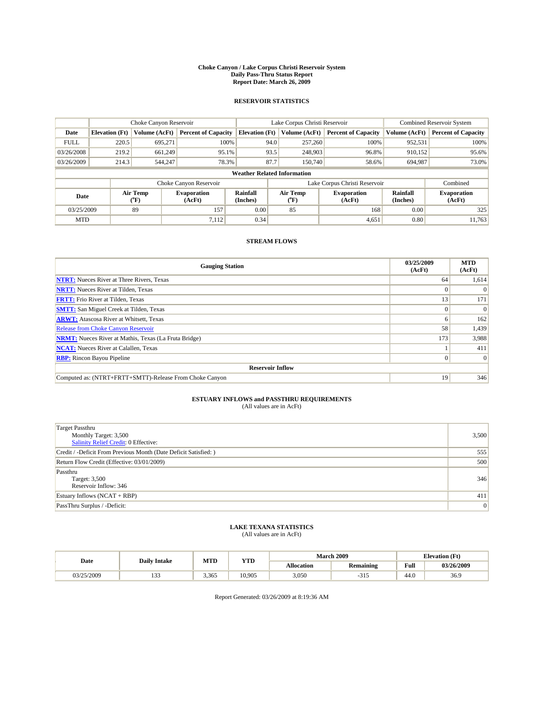#### **Choke Canyon / Lake Corpus Christi Reservoir System Daily Pass-Thru Status Report Report Date: March 26, 2009**

### **RESERVOIR STATISTICS**

|             | Choke Canyon Reservoir             |                          |                              |                       | Lake Corpus Christi Reservoir |                          |                               |                      | <b>Combined Reservoir System</b> |  |
|-------------|------------------------------------|--------------------------|------------------------------|-----------------------|-------------------------------|--------------------------|-------------------------------|----------------------|----------------------------------|--|
| Date        | <b>Elevation</b> (Ft)              | Volume (AcFt)            | <b>Percent of Capacity</b>   | <b>Elevation (Ft)</b> |                               | Volume (AcFt)            | <b>Percent of Capacity</b>    | Volume (AcFt)        | <b>Percent of Capacity</b>       |  |
| <b>FULL</b> | 220.5                              | 695,271                  | 100%                         |                       | 94.0                          | 257,260                  | 100%                          | 952,531              | 100%                             |  |
| 03/26/2008  | 219.2                              | 661.249                  | 95.1%                        |                       | 93.5                          | 248,903                  | 96.8%                         | 910,152              | 95.6%                            |  |
| 03/26/2009  | 214.3                              | 544,247                  | 78.3%                        |                       | 87.7                          | 150,740                  | 58.6%                         | 694,987              | 73.0%                            |  |
|             | <b>Weather Related Information</b> |                          |                              |                       |                               |                          |                               |                      |                                  |  |
|             |                                    |                          | Choke Canyon Reservoir       |                       |                               |                          | Lake Corpus Christi Reservoir |                      | Combined                         |  |
| Date        |                                    | Air Temp<br>$\rm ^{o}F)$ | <b>Evaporation</b><br>(AcFt) | Rainfall<br>(Inches)  |                               | Air Temp<br>$\rm ^{o}F)$ | <b>Evaporation</b><br>(AcFt)  | Rainfall<br>(Inches) | <b>Evaporation</b><br>(AcFt)     |  |
| 03/25/2009  |                                    | 89                       | 157                          | 0.00                  |                               | 85                       | 168                           | 0.00                 | 325                              |  |
| <b>MTD</b>  |                                    |                          | 7,112                        | 0.34                  |                               |                          | 4,651                         | 0.80                 | 11.763                           |  |

## **STREAM FLOWS**

| <b>Gauging Station</b>                                       | 03/25/2009<br>(AcFt) | <b>MTD</b><br>(AcFt) |
|--------------------------------------------------------------|----------------------|----------------------|
| <b>NTRT:</b> Nueces River at Three Rivers, Texas             | 64                   | 1,614                |
| <b>NRTT:</b> Nueces River at Tilden, Texas                   |                      |                      |
| <b>FRTT:</b> Frio River at Tilden, Texas                     | 13                   | 171                  |
| <b>SMTT:</b> San Miguel Creek at Tilden, Texas               | $\Omega$             | $\Omega$             |
| <b>ARWT:</b> Atascosa River at Whitsett, Texas               | 6                    | 162                  |
| <b>Release from Choke Canyon Reservoir</b>                   | 58                   | 1,439                |
| <b>NRMT:</b> Nueces River at Mathis, Texas (La Fruta Bridge) | 173                  | 3,988                |
| <b>NCAT:</b> Nueces River at Calallen, Texas                 |                      | 411                  |
| <b>RBP:</b> Rincon Bayou Pipeline                            | $\overline{0}$       | $\Omega$             |
| <b>Reservoir Inflow</b>                                      |                      |                      |
| Computed as: (NTRT+FRTT+SMTT)-Release From Choke Canyon      | 19                   | 346                  |

# **ESTUARY INFLOWS and PASSTHRU REQUIREMENTS**<br>(All values are in AcFt)

| <b>Target Passthru</b><br>Monthly Target: 3,500<br><b>Salinity Relief Credit: 0 Effective:</b> | 3,500 |
|------------------------------------------------------------------------------------------------|-------|
| Credit / -Deficit From Previous Month (Date Deficit Satisfied: )                               | 555   |
| Return Flow Credit (Effective: 03/01/2009)                                                     | 500   |
| Passthru<br>Target: 3,500<br>Reservoir Inflow: 346                                             | 346   |
| Estuary Inflows (NCAT + RBP)                                                                   | 411   |
| PassThru Surplus / -Deficit:                                                                   | 0     |

## **LAKE TEXANA STATISTICS** (All values are in AcFt)

| Date       | <b>Daily Intake</b> | MTD   | <b>YTD</b> |                   | March 2009       | <b>Elevation</b> (Ft) |            |
|------------|---------------------|-------|------------|-------------------|------------------|-----------------------|------------|
|            |                     |       |            | <b>Allocation</b> | <b>Remaining</b> | Full                  | 03/26/2009 |
| 03/25/2009 | $\sim$<br>.         | 3,365 | 10.905     | 3,050             | -311             | 44.0                  | 36.9       |

Report Generated: 03/26/2009 at 8:19:36 AM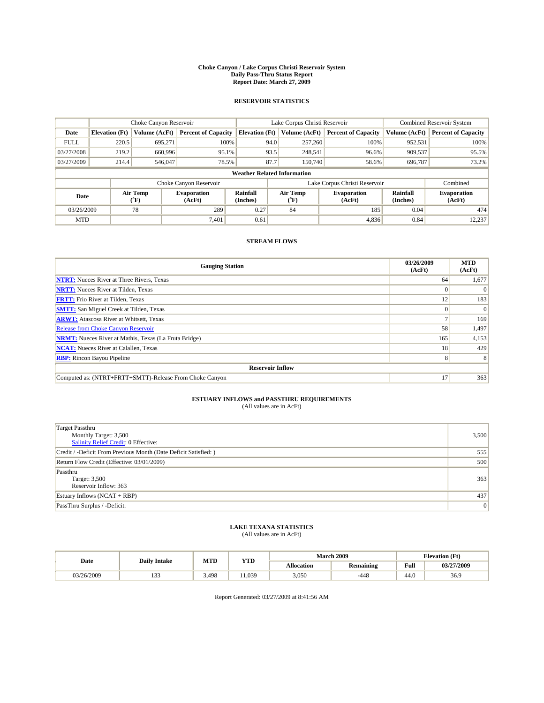#### **Choke Canyon / Lake Corpus Christi Reservoir System Daily Pass-Thru Status Report Report Date: March 27, 2009**

### **RESERVOIR STATISTICS**

|             | Choke Canyon Reservoir             |                  |                              |                             | Lake Corpus Christi Reservoir | <b>Combined Reservoir System</b> |                      |                              |  |  |
|-------------|------------------------------------|------------------|------------------------------|-----------------------------|-------------------------------|----------------------------------|----------------------|------------------------------|--|--|
| Date        | <b>Elevation</b> (Ft)              | Volume (AcFt)    | <b>Percent of Capacity</b>   | <b>Elevation</b> (Ft)       | Volume (AcFt)                 | <b>Percent of Capacity</b>       | Volume (AcFt)        | <b>Percent of Capacity</b>   |  |  |
| <b>FULL</b> | 220.5                              | 695,271          | 100%                         | 94.0                        | 257,260                       | 100%                             | 952,531              | 100%                         |  |  |
| 03/27/2008  | 219.2                              | 660,996          | 95.1%                        | 93.5                        | 248,541                       | 96.6%                            | 909,537              | 95.5%                        |  |  |
| 03/27/2009  | 214.4                              | 546,047          | 78.5%                        | 87.7                        | 150,740                       | 58.6%                            | 696,787              | 73.2%                        |  |  |
|             | <b>Weather Related Information</b> |                  |                              |                             |                               |                                  |                      |                              |  |  |
|             |                                    |                  | Choke Canyon Reservoir       |                             |                               | Lake Corpus Christi Reservoir    |                      | Combined                     |  |  |
| Date        |                                    | Air Temp<br>(°F) | <b>Evaporation</b><br>(AcFt) | <b>Rainfall</b><br>(Inches) | Air Temp<br>(°F)              | <b>Evaporation</b><br>(AcFt)     | Rainfall<br>(Inches) | <b>Evaporation</b><br>(AcFt) |  |  |
| 03/26/2009  |                                    | 78               | 289                          | 0.27                        | 84                            | 185                              | 0.04                 | 474                          |  |  |
| <b>MTD</b>  |                                    |                  | 7,401                        | 0.61                        |                               | 4,836                            | 0.84                 | 12,237                       |  |  |

## **STREAM FLOWS**

| <b>Gauging Station</b>                                       | 03/26/2009<br>(AcFt) | <b>MTD</b><br>(AcFt) |  |  |  |  |
|--------------------------------------------------------------|----------------------|----------------------|--|--|--|--|
| <b>NTRT:</b> Nueces River at Three Rivers, Texas             | 64                   | 1,677                |  |  |  |  |
| <b>NRTT:</b> Nueces River at Tilden, Texas                   | $\Omega$             |                      |  |  |  |  |
| <b>FRTT:</b> Frio River at Tilden, Texas                     | 12                   | 183                  |  |  |  |  |
| <b>SMTT:</b> San Miguel Creek at Tilden, Texas               | $\Omega$             | $\Omega$             |  |  |  |  |
| <b>ARWT:</b> Atascosa River at Whitsett, Texas               |                      | 169                  |  |  |  |  |
| <b>Release from Choke Canyon Reservoir</b>                   | 58                   | 1,497                |  |  |  |  |
| <b>NRMT:</b> Nueces River at Mathis, Texas (La Fruta Bridge) | 165                  | 4,153                |  |  |  |  |
| <b>NCAT:</b> Nueces River at Calallen, Texas                 | 18                   | 429                  |  |  |  |  |
| <b>RBP:</b> Rincon Bayou Pipeline                            | 8 <sup>1</sup>       | 8                    |  |  |  |  |
| <b>Reservoir Inflow</b>                                      |                      |                      |  |  |  |  |
| Computed as: (NTRT+FRTT+SMTT)-Release From Choke Canyon      | 17                   | 363                  |  |  |  |  |

# **ESTUARY INFLOWS and PASSTHRU REQUIREMENTS**<br>(All values are in AcFt)

| <b>Target Passthru</b><br>Monthly Target: 3,500<br>Salinity Relief Credit: 0 Effective: | 3,500 |
|-----------------------------------------------------------------------------------------|-------|
| Credit / -Deficit From Previous Month (Date Deficit Satisfied: )                        | 555   |
| Return Flow Credit (Effective: 03/01/2009)                                              | 500   |
| Passthru<br>Target: 3,500<br>Reservoir Inflow: 363                                      | 363   |
| Estuary Inflows $(NCAT + RBP)$                                                          | 437   |
| PassThru Surplus / -Deficit:                                                            | 0     |

## **LAKE TEXANA STATISTICS** (All values are in AcFt)

|            | <b>Daily Intake</b> | MTD   | <b>YTD</b> |                   | <b>March 2009</b> | <b>Elevation</b> (Ft) |            |
|------------|---------------------|-------|------------|-------------------|-------------------|-----------------------|------------|
| Date       |                     |       |            | <b>Allocation</b> | <b>Remaining</b>  | Full                  | 03/27/2009 |
| 03/26/2009 | $\sim$<br>.         | 3.498 | .1.039     | 3,050             | $-448$            | 44.0                  | 36.9       |

Report Generated: 03/27/2009 at 8:41:56 AM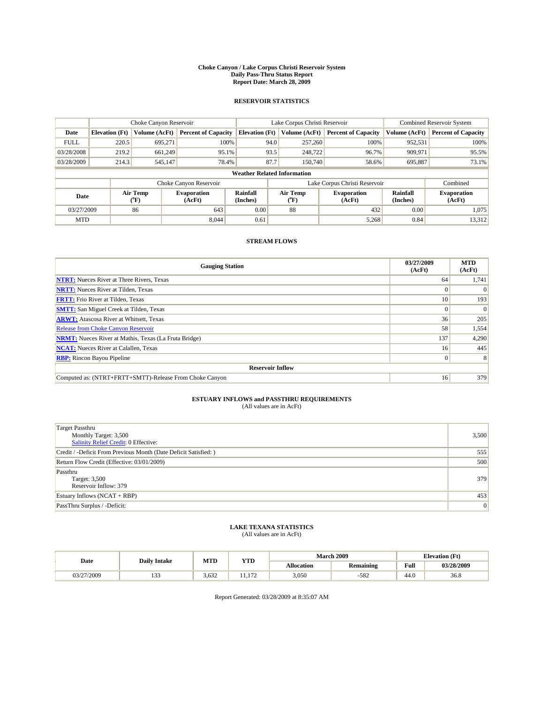#### **Choke Canyon / Lake Corpus Christi Reservoir System Daily Pass-Thru Status Report Report Date: March 28, 2009**

### **RESERVOIR STATISTICS**

|             | Choke Canyon Reservoir             |                  | Lake Corpus Christi Reservoir |                             |      |                  | <b>Combined Reservoir System</b> |                      |                              |  |
|-------------|------------------------------------|------------------|-------------------------------|-----------------------------|------|------------------|----------------------------------|----------------------|------------------------------|--|
| Date        | <b>Elevation</b> (Ft)              | Volume (AcFt)    | <b>Percent of Capacity</b>    | <b>Elevation</b> (Ft)       |      | Volume (AcFt)    | <b>Percent of Capacity</b>       | Volume (AcFt)        | <b>Percent of Capacity</b>   |  |
| <b>FULL</b> | 220.5                              | 695,271          | 100%                          |                             | 94.0 | 257,260          | 100%                             | 952,531              | 100%                         |  |
| 03/28/2008  | 219.2                              | 661,249          | 95.1%                         |                             | 93.5 | 248,722          | 96.7%                            | 909,971              | 95.5%                        |  |
| 03/28/2009  | 214.3                              | 545,147          | 78.4%                         |                             | 87.7 | 150,740          | 58.6%                            | 695,887              | 73.1%                        |  |
|             | <b>Weather Related Information</b> |                  |                               |                             |      |                  |                                  |                      |                              |  |
|             |                                    |                  | Choke Canyon Reservoir        |                             |      |                  | Lake Corpus Christi Reservoir    |                      | Combined                     |  |
| Date        |                                    | Air Temp<br>(°F) | <b>Evaporation</b><br>(AcFt)  | <b>Rainfall</b><br>(Inches) |      | Air Temp<br>("F) | <b>Evaporation</b><br>(AcFt)     | Rainfall<br>(Inches) | <b>Evaporation</b><br>(AcFt) |  |
| 03/27/2009  |                                    | 86               | 643                           | 0.00                        |      | 88               | 432                              | 0.00                 | 1.075                        |  |
| <b>MTD</b>  |                                    |                  | 8.044                         | 0.61                        |      |                  | 5,268                            | 0.84                 | 13,312                       |  |

## **STREAM FLOWS**

| <b>Gauging Station</b>                                       | 03/27/2009<br>(AcFt) | <b>MTD</b><br>(AcFt) |  |  |  |  |
|--------------------------------------------------------------|----------------------|----------------------|--|--|--|--|
| <b>NTRT:</b> Nueces River at Three Rivers, Texas             | 64                   | 1,741                |  |  |  |  |
| <b>NRTT:</b> Nueces River at Tilden, Texas                   | $\Omega$             |                      |  |  |  |  |
| <b>FRTT:</b> Frio River at Tilden, Texas                     | 10 <sup>1</sup>      | 193                  |  |  |  |  |
| <b>SMTT:</b> San Miguel Creek at Tilden, Texas               | $\Omega$             | $\Omega$             |  |  |  |  |
| <b>ARWT:</b> Atascosa River at Whitsett, Texas               | 36                   | 205                  |  |  |  |  |
| <b>Release from Choke Canyon Reservoir</b>                   | 58                   | 1,554                |  |  |  |  |
| <b>NRMT:</b> Nueces River at Mathis, Texas (La Fruta Bridge) | 137                  | 4,290                |  |  |  |  |
| <b>NCAT:</b> Nueces River at Calallen, Texas                 | 16 <sup>1</sup>      | 445                  |  |  |  |  |
| <b>RBP:</b> Rincon Bayou Pipeline                            | $\overline{0}$       | 8                    |  |  |  |  |
| <b>Reservoir Inflow</b>                                      |                      |                      |  |  |  |  |
| Computed as: (NTRT+FRTT+SMTT)-Release From Choke Canyon      | 16 <sup>1</sup>      | 379                  |  |  |  |  |

# **ESTUARY INFLOWS and PASSTHRU REQUIREMENTS**<br>(All values are in AcFt)

| <b>Target Passthru</b><br>Monthly Target: 3,500<br>Salinity Relief Credit: 0 Effective: | 3,500 |
|-----------------------------------------------------------------------------------------|-------|
| Credit / -Deficit From Previous Month (Date Deficit Satisfied: )                        | 555   |
| Return Flow Credit (Effective: 03/01/2009)                                              | 500   |
| Passthru<br>Target: 3,500<br>Reservoir Inflow: 379                                      | 379   |
| Estuary Inflows $(NCAT + RBP)$                                                          | 453   |
| PassThru Surplus / -Deficit:                                                            | 0     |

# **LAKE TEXANA STATISTICS** (All values are in AcFt)

| Date       | <b>Daily Intake</b> | MTD   | <b>YTD</b> |                   | March 2009       |      | <b>Elevation</b> (Ft) |
|------------|---------------------|-------|------------|-------------------|------------------|------|-----------------------|
|            |                     |       |            | <b>Allocation</b> | <b>Remaining</b> | Full | 03/28/2009            |
| 03/27/2009 | $\sim$<br>.         | 3,632 | 172<br>.   | 3,050             | $-582$           | 44.0 | 36.8                  |

Report Generated: 03/28/2009 at 8:35:07 AM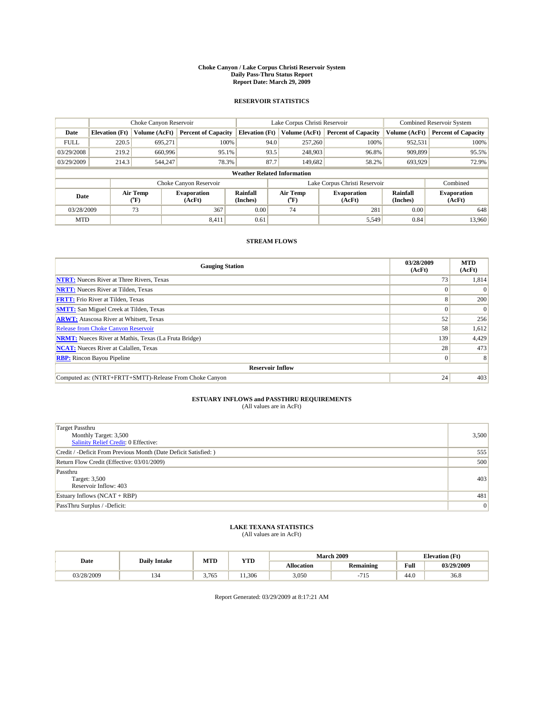#### **Choke Canyon / Lake Corpus Christi Reservoir System Daily Pass-Thru Status Report Report Date: March 29, 2009**

### **RESERVOIR STATISTICS**

|             |                                    | Choke Canyon Reservoir |                              |                       | Lake Corpus Christi Reservoir | <b>Combined Reservoir System</b> |                      |                              |  |  |
|-------------|------------------------------------|------------------------|------------------------------|-----------------------|-------------------------------|----------------------------------|----------------------|------------------------------|--|--|
| Date        | <b>Elevation</b> (Ft)              | Volume (AcFt)          | <b>Percent of Capacity</b>   | <b>Elevation</b> (Ft) | Volume (AcFt)                 | <b>Percent of Capacity</b>       | Volume (AcFt)        | <b>Percent of Capacity</b>   |  |  |
| <b>FULL</b> | 220.5                              | 695,271                | 100%                         | 94.0                  | 257,260                       | 100%                             | 952,531              | 100%                         |  |  |
| 03/29/2008  | 219.2                              | 660,996                | 95.1%                        | 93.5                  | 248,903                       | 96.8%                            | 909,899              | 95.5%                        |  |  |
| 03/29/2009  | 214.3                              | 544,247                | 78.3%                        | 87.7                  | 149,682                       | 58.2%                            | 693,929              | 72.9%                        |  |  |
|             | <b>Weather Related Information</b> |                        |                              |                       |                               |                                  |                      |                              |  |  |
|             |                                    |                        | Choke Canyon Reservoir       |                       |                               | Lake Corpus Christi Reservoir    |                      | Combined                     |  |  |
| Date        |                                    | Air Temp<br>(°F)       | <b>Evaporation</b><br>(AcFt) | Rainfall<br>(Inches)  | Air Temp<br>("F)              | <b>Evaporation</b><br>(AcFt)     | Rainfall<br>(Inches) | <b>Evaporation</b><br>(AcFt) |  |  |
| 03/28/2009  |                                    | 73                     | 367                          | 0.00                  | 74                            | 281                              | 0.00                 | 648                          |  |  |
| <b>MTD</b>  |                                    |                        | 8,411                        | 0.61                  |                               | 5,549                            | 0.84                 | 13.960                       |  |  |

## **STREAM FLOWS**

| <b>Gauging Station</b>                                       | 03/28/2009<br>(AcFt) | <b>MTD</b><br>(AcFt) |  |  |  |  |
|--------------------------------------------------------------|----------------------|----------------------|--|--|--|--|
| <b>NTRT:</b> Nueces River at Three Rivers, Texas             | 73                   | 1,814                |  |  |  |  |
| <b>NRTT:</b> Nueces River at Tilden, Texas                   |                      |                      |  |  |  |  |
| <b>FRTT:</b> Frio River at Tilden, Texas                     | 8                    | 200                  |  |  |  |  |
| <b>SMTT:</b> San Miguel Creek at Tilden, Texas               | $\theta$             | $\Omega$             |  |  |  |  |
| <b>ARWT:</b> Atascosa River at Whitsett, Texas               | 52                   | 256                  |  |  |  |  |
| <b>Release from Choke Canyon Reservoir</b>                   | 58                   | 1,612                |  |  |  |  |
| <b>NRMT:</b> Nueces River at Mathis, Texas (La Fruta Bridge) | 139                  | 4,429                |  |  |  |  |
| <b>NCAT:</b> Nueces River at Calallen, Texas                 | 28                   | 473                  |  |  |  |  |
| <b>RBP:</b> Rincon Bayou Pipeline                            | $\overline{0}$       |                      |  |  |  |  |
| <b>Reservoir Inflow</b>                                      |                      |                      |  |  |  |  |
| Computed as: (NTRT+FRTT+SMTT)-Release From Choke Canyon      | 24                   | 403                  |  |  |  |  |

# **ESTUARY INFLOWS and PASSTHRU REQUIREMENTS**<br>(All values are in AcFt)

| <b>Target Passthru</b><br>Monthly Target: 3,500<br>Salinity Relief Credit: 0 Effective: | 3,500 |
|-----------------------------------------------------------------------------------------|-------|
| Credit / -Deficit From Previous Month (Date Deficit Satisfied: )                        | 555   |
| Return Flow Credit (Effective: 03/01/2009)                                              | 500   |
| Passthru<br>Target: 3,500<br>Reservoir Inflow: 403                                      | 403   |
| Estuary Inflows $(NCAT + RBP)$                                                          | 481   |
| PassThru Surplus / -Deficit:                                                            | 0     |

## **LAKE TEXANA STATISTICS** (All values are in AcFt)

| Date       | <b>Daily Intake</b> | MTD   | <b>YTD</b> |                   | <b>March 2009</b> | <b>Elevation</b> (Ft) |            |
|------------|---------------------|-------|------------|-------------------|-------------------|-----------------------|------------|
|            |                     |       |            | <b>Allocation</b> | <b>Remaining</b>  | Full                  | 03/29/2009 |
| 03/28/2009 | . . <i>. .</i> .    | 3,765 | 1.306      | 3.050             | . <b>.</b> .      | 44.0                  | 36.8       |

Report Generated: 03/29/2009 at 8:17:21 AM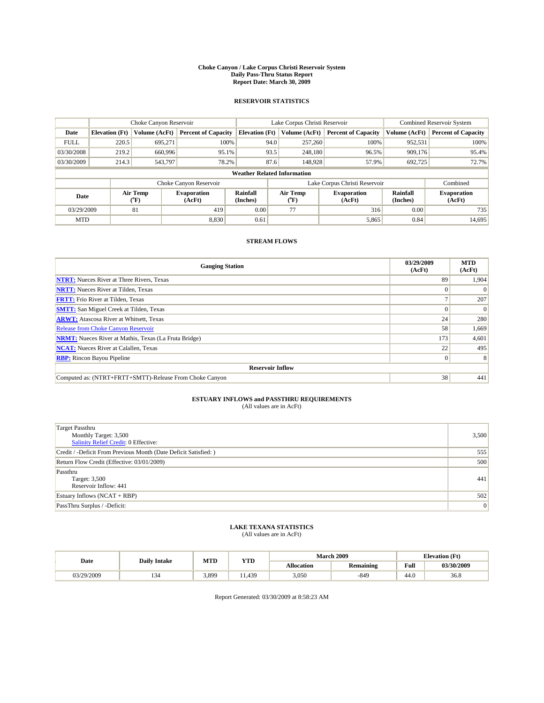#### **Choke Canyon / Lake Corpus Christi Reservoir System Daily Pass-Thru Status Report Report Date: March 30, 2009**

### **RESERVOIR STATISTICS**

|             | Choke Canyon Reservoir             |                  |                              |                             | Lake Corpus Christi Reservoir |  |                               |                      | <b>Combined Reservoir System</b> |  |
|-------------|------------------------------------|------------------|------------------------------|-----------------------------|-------------------------------|--|-------------------------------|----------------------|----------------------------------|--|
| Date        | <b>Elevation</b> (Ft)              | Volume (AcFt)    | <b>Percent of Capacity</b>   | <b>Elevation</b> (Ft)       | Volume (AcFt)                 |  | <b>Percent of Capacity</b>    | Volume (AcFt)        | <b>Percent of Capacity</b>       |  |
| <b>FULL</b> | 220.5                              | 695,271          | 100%                         |                             | 94.0<br>257,260               |  | 100%                          | 952,531              | 100%                             |  |
| 03/30/2008  | 219.2                              | 660,996          | 95.1%                        |                             | 93.5<br>248,180               |  | 96.5%                         | 909,176              | 95.4%                            |  |
| 03/30/2009  | 214.3                              | 543,797          | 78.2%                        |                             | 87.6<br>148,928               |  | 57.9%                         | 692,725              | 72.7%                            |  |
|             | <b>Weather Related Information</b> |                  |                              |                             |                               |  |                               |                      |                                  |  |
|             |                                    |                  | Choke Canyon Reservoir       |                             |                               |  | Lake Corpus Christi Reservoir |                      | Combined                         |  |
| Date        |                                    | Air Temp<br>(°F) | <b>Evaporation</b><br>(AcFt) | <b>Rainfall</b><br>(Inches) | Air Temp<br>(°F)              |  | <b>Evaporation</b><br>(AcFt)  | Rainfall<br>(Inches) | <b>Evaporation</b><br>(AcFt)     |  |
| 03/29/2009  |                                    | 81               | 419                          | 0.00                        | 77                            |  | 316                           | 0.00                 | 735                              |  |
| <b>MTD</b>  |                                    |                  | 8.830                        | 0.61                        |                               |  | 5,865                         | 0.84                 | 14,695                           |  |

## **STREAM FLOWS**

| <b>Gauging Station</b>                                       | 03/29/2009<br>(AcFt) | <b>MTD</b><br>(AcFt) |  |  |  |  |
|--------------------------------------------------------------|----------------------|----------------------|--|--|--|--|
| <b>NTRT:</b> Nueces River at Three Rivers, Texas             | 89                   | 1,904                |  |  |  |  |
| <b>NRTT:</b> Nueces River at Tilden, Texas                   |                      |                      |  |  |  |  |
| <b>FRTT:</b> Frio River at Tilden, Texas                     |                      | 207                  |  |  |  |  |
| <b>SMTT:</b> San Miguel Creek at Tilden, Texas               |                      | $\Omega$             |  |  |  |  |
| <b>ARWT:</b> Atascosa River at Whitsett, Texas               | 24                   | 280                  |  |  |  |  |
| <b>Release from Choke Canyon Reservoir</b>                   | 58                   | 1,669                |  |  |  |  |
| <b>NRMT:</b> Nueces River at Mathis, Texas (La Fruta Bridge) | 173                  | 4,601                |  |  |  |  |
| <b>NCAT:</b> Nueces River at Calallen, Texas                 | 22                   | 495                  |  |  |  |  |
| <b>RBP:</b> Rincon Bayou Pipeline                            | $\vert 0 \vert$      | 8                    |  |  |  |  |
| <b>Reservoir Inflow</b>                                      |                      |                      |  |  |  |  |
| Computed as: (NTRT+FRTT+SMTT)-Release From Choke Canyon      | 38                   | 441                  |  |  |  |  |

# **ESTUARY INFLOWS and PASSTHRU REQUIREMENTS**<br>(All values are in AcFt)

| <b>Target Passthru</b><br>Monthly Target: 3,500<br>Salinity Relief Credit: 0 Effective: | 3,500 |
|-----------------------------------------------------------------------------------------|-------|
| Credit / -Deficit From Previous Month (Date Deficit Satisfied: )                        | 555   |
| Return Flow Credit (Effective: 03/01/2009)                                              | 500   |
| Passthru<br>Target: 3,500<br>Reservoir Inflow: 441                                      | 441   |
| Estuary Inflows $(NCAT + RBP)$                                                          | 502   |
| PassThru Surplus / -Deficit:                                                            | 0     |

## **LAKE TEXANA STATISTICS** (All values are in AcFt)

|            | <b>Daily Intake</b> | MTD   | <b>YTD</b> |            | <b>March 2009</b> | <b>Elevation</b> (Ft)                       |            |
|------------|---------------------|-------|------------|------------|-------------------|---------------------------------------------|------------|
| Date       |                     |       |            | Allocation | <b>Remaining</b>  | Full<br>the contract of the contract of the | 03/30/2009 |
| 03/29/2009 | - د د               | 3,899 | .439       | 3,050      | $-849$            | 44.0                                        | 36.8       |

Report Generated: 03/30/2009 at 8:58:23 AM